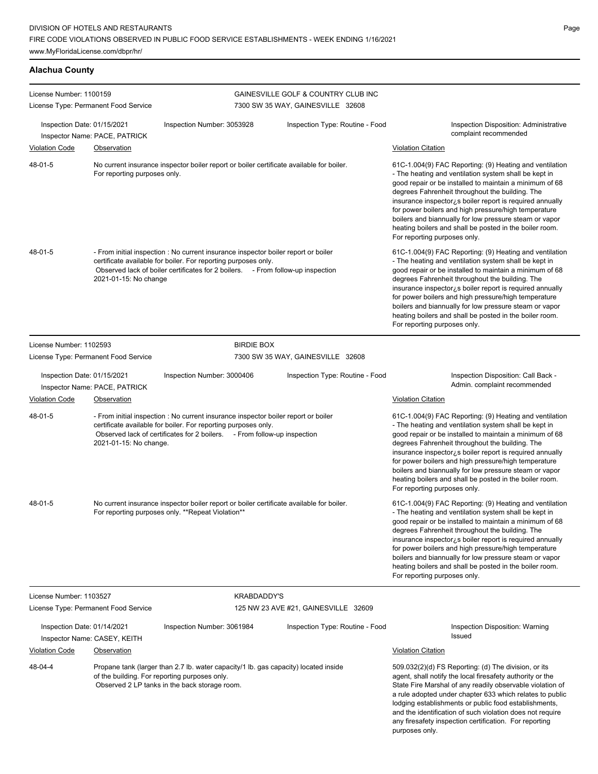### **Alachua County**

| License Number: 1100159              |                               |                                                                                                                                                                                                                                         | GAINESVILLE GOLF & COUNTRY CLUB INC  |                                                                                                                                                                                                                                                                                                                                                                                                                                                                                                          |
|--------------------------------------|-------------------------------|-----------------------------------------------------------------------------------------------------------------------------------------------------------------------------------------------------------------------------------------|--------------------------------------|----------------------------------------------------------------------------------------------------------------------------------------------------------------------------------------------------------------------------------------------------------------------------------------------------------------------------------------------------------------------------------------------------------------------------------------------------------------------------------------------------------|
| License Type: Permanent Food Service |                               |                                                                                                                                                                                                                                         | 7300 SW 35 WAY, GAINESVILLE 32608    |                                                                                                                                                                                                                                                                                                                                                                                                                                                                                                          |
| Inspection Date: 01/15/2021          | Inspector Name: PACE, PATRICK | Inspection Number: 3053928                                                                                                                                                                                                              | Inspection Type: Routine - Food      | Inspection Disposition: Administrative<br>complaint recommended                                                                                                                                                                                                                                                                                                                                                                                                                                          |
| <b>Violation Code</b>                | Observation                   |                                                                                                                                                                                                                                         |                                      | <b>Violation Citation</b>                                                                                                                                                                                                                                                                                                                                                                                                                                                                                |
| 48-01-5                              | For reporting purposes only.  | No current insurance inspector boiler report or boiler certificate available for boiler.                                                                                                                                                |                                      | 61C-1.004(9) FAC Reporting: (9) Heating and ventilation<br>- The heating and ventilation system shall be kept in<br>good repair or be installed to maintain a minimum of 68<br>degrees Fahrenheit throughout the building. The<br>insurance inspector is boiler report is required annually<br>for power boilers and high pressure/high temperature<br>boilers and biannually for low pressure steam or vapor<br>heating boilers and shall be posted in the boiler room.<br>For reporting purposes only. |
| 48-01-5                              | 2021-01-15: No change         | - From initial inspection : No current insurance inspector boiler report or boiler<br>certificate available for boiler. For reporting purposes only.<br>Observed lack of boiler certificates for 2 boilers. - From follow-up inspection |                                      | 61C-1.004(9) FAC Reporting: (9) Heating and ventilation<br>- The heating and ventilation system shall be kept in<br>good repair or be installed to maintain a minimum of 68<br>degrees Fahrenheit throughout the building. The<br>insurance inspector is boiler report is required annually<br>for power boilers and high pressure/high temperature<br>boilers and biannually for low pressure steam or vapor<br>heating boilers and shall be posted in the boiler room.<br>For reporting purposes only. |
| License Number: 1102593              |                               | <b>BIRDIE BOX</b>                                                                                                                                                                                                                       |                                      |                                                                                                                                                                                                                                                                                                                                                                                                                                                                                                          |
| License Type: Permanent Food Service |                               |                                                                                                                                                                                                                                         | 7300 SW 35 WAY, GAINESVILLE 32608    |                                                                                                                                                                                                                                                                                                                                                                                                                                                                                                          |
| Inspection Date: 01/15/2021          | Inspector Name: PACE, PATRICK | Inspection Number: 3000406                                                                                                                                                                                                              | Inspection Type: Routine - Food      | Inspection Disposition: Call Back -<br>Admin. complaint recommended                                                                                                                                                                                                                                                                                                                                                                                                                                      |
| <b>Violation Code</b>                | Observation                   |                                                                                                                                                                                                                                         |                                      | <b>Violation Citation</b>                                                                                                                                                                                                                                                                                                                                                                                                                                                                                |
| 48-01-5                              | 2021-01-15: No change.        | - From initial inspection : No current insurance inspector boiler report or boiler<br>certificate available for boiler. For reporting purposes only.<br>Observed lack of certificates for 2 boilers. - From follow-up inspection        |                                      | 61C-1.004(9) FAC Reporting: (9) Heating and ventilation<br>- The heating and ventilation system shall be kept in<br>good repair or be installed to maintain a minimum of 68<br>degrees Fahrenheit throughout the building. The<br>insurance inspector¿s boiler report is required annually<br>for power boilers and high pressure/high temperature<br>boilers and biannually for low pressure steam or vapor<br>heating boilers and shall be posted in the boiler room.<br>For reporting purposes only.  |
| 48-01-5                              |                               | No current insurance inspector boiler report or boiler certificate available for boiler.<br>For reporting purposes only. **Repeat Violation**                                                                                           |                                      | 61C-1.004(9) FAC Reporting: (9) Heating and ventilation<br>- The heating and ventilation system shall be kept in<br>good repair or be installed to maintain a minimum of 68<br>degrees Fahrenheit throughout the building. The<br>insurance inspector; s boiler report is required annually<br>for power boilers and high pressure/high temperature<br>boilers and biannually for low pressure steam or vapor<br>heating boilers and shall be posted in the boiler room.<br>For reporting purposes only. |
| License Number: 1103527              |                               |                                                                                                                                                                                                                                         | <b>KRABDADDY'S</b>                   |                                                                                                                                                                                                                                                                                                                                                                                                                                                                                                          |
| License Type: Permanent Food Service |                               |                                                                                                                                                                                                                                         | 125 NW 23 AVE #21, GAINESVILLE 32609 |                                                                                                                                                                                                                                                                                                                                                                                                                                                                                                          |
| Inspection Date: 01/14/2021          | Inspector Name: CASEY, KEITH  | Inspection Number: 3061984                                                                                                                                                                                                              | Inspection Type: Routine - Food      | Inspection Disposition: Warning<br>Issued                                                                                                                                                                                                                                                                                                                                                                                                                                                                |
| <b>Violation Code</b>                | <b>Observation</b>            |                                                                                                                                                                                                                                         |                                      | <b>Violation Citation</b>                                                                                                                                                                                                                                                                                                                                                                                                                                                                                |
| 48-04-4                              |                               | Propane tank (larger than 2.7 lb. water capacity/1 lb. gas capacity) located inside<br>of the building. For reporting purposes only.<br>Observed 2 LP tanks in the back storage room.                                                   |                                      | 509.032(2)(d) FS Reporting: (d) The division, or its<br>agent, shall notify the local firesafety authority or the<br>State Fire Marshal of any readily observable violation of<br>a rule adopted under chapter 633 which relates to public<br>lodging establishments or public food establishments,<br>and the identification of such violation does not require<br>any firesafety inspection certification. For reporting<br>purposes only.                                                             |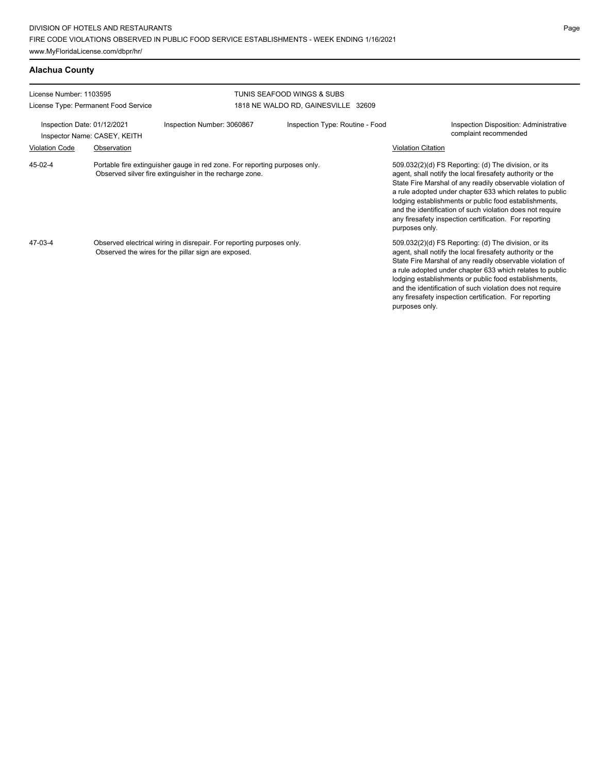### **Alachua County**

| License Number: 1103595                                     |                                                                                                                                       |                            | TUNIS SEAFOOD WINGS & SUBS          |                           |                                                                                                                                                                                                                                                                                                                                                                                                                            |
|-------------------------------------------------------------|---------------------------------------------------------------------------------------------------------------------------------------|----------------------------|-------------------------------------|---------------------------|----------------------------------------------------------------------------------------------------------------------------------------------------------------------------------------------------------------------------------------------------------------------------------------------------------------------------------------------------------------------------------------------------------------------------|
|                                                             | License Type: Permanent Food Service                                                                                                  |                            | 1818 NE WALDO RD, GAINESVILLE 32609 |                           |                                                                                                                                                                                                                                                                                                                                                                                                                            |
| Inspection Date: 01/12/2021<br>Inspector Name: CASEY, KEITH |                                                                                                                                       | Inspection Number: 3060867 | Inspection Type: Routine - Food     |                           | Inspection Disposition: Administrative<br>complaint recommended                                                                                                                                                                                                                                                                                                                                                            |
| <b>Violation Code</b>                                       | Observation                                                                                                                           |                            |                                     | <b>Violation Citation</b> |                                                                                                                                                                                                                                                                                                                                                                                                                            |
| 45-02-4                                                     | Portable fire extinguisher gauge in red zone. For reporting purposes only.<br>Observed silver fire extinguisher in the recharge zone. |                            |                                     | purposes only.            | 509.032(2)(d) FS Reporting: (d) The division, or its<br>agent, shall notify the local firesafety authority or the<br>State Fire Marshal of any readily observable violation of<br>a rule adopted under chapter 633 which relates to public<br>lodging establishments or public food establishments,<br>and the identification of such violation does not require<br>any firesafety inspection certification. For reporting |
| 47-03-4                                                     | Observed electrical wiring in disrepair. For reporting purposes only.<br>Observed the wires for the pillar sign are exposed.          |                            |                                     | purposes only.            | 509.032(2)(d) FS Reporting: (d) The division, or its<br>agent, shall notify the local firesafety authority or the<br>State Fire Marshal of any readily observable violation of<br>a rule adopted under chapter 633 which relates to public<br>lodging establishments or public food establishments,<br>and the identification of such violation does not require<br>any firesafety inspection certification. For reporting |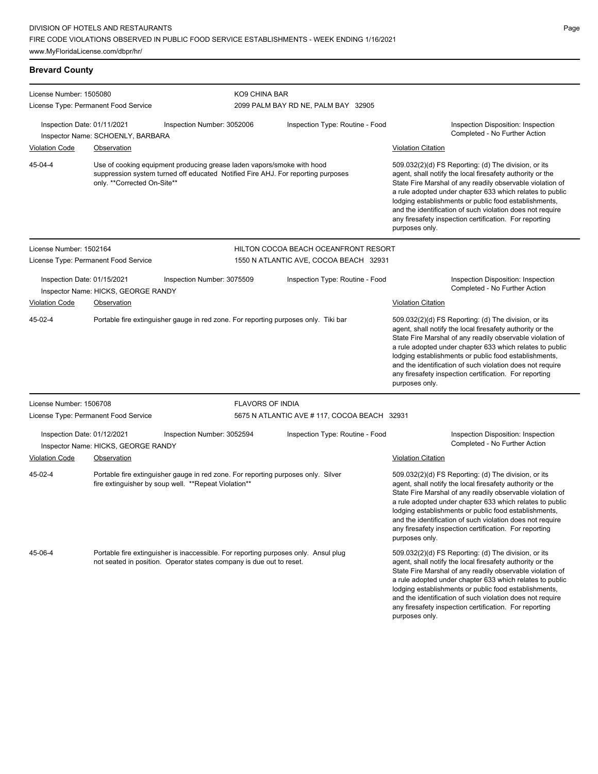### **Brevard County**

| License Number: 1505080     |                                      | KO9 CHINA BAR                                                                                                                                               |                                             |                                                                                                                                                                                                                                                                                                                                                                                                                                              |
|-----------------------------|--------------------------------------|-------------------------------------------------------------------------------------------------------------------------------------------------------------|---------------------------------------------|----------------------------------------------------------------------------------------------------------------------------------------------------------------------------------------------------------------------------------------------------------------------------------------------------------------------------------------------------------------------------------------------------------------------------------------------|
|                             | License Type: Permanent Food Service |                                                                                                                                                             | 2099 PALM BAY RD NE, PALM BAY 32905         |                                                                                                                                                                                                                                                                                                                                                                                                                                              |
| Inspection Date: 01/11/2021 | Inspector Name: SCHOENLY, BARBARA    | Inspection Number: 3052006                                                                                                                                  | Inspection Type: Routine - Food             | Inspection Disposition: Inspection<br>Completed - No Further Action                                                                                                                                                                                                                                                                                                                                                                          |
| <b>Violation Code</b>       | Observation                          |                                                                                                                                                             |                                             | <b>Violation Citation</b>                                                                                                                                                                                                                                                                                                                                                                                                                    |
| 45-04-4                     | only. **Corrected On-Site**          | Use of cooking equipment producing grease laden vapors/smoke with hood<br>suppression system turned off educated Notified Fire AHJ. For reporting purposes  |                                             | 509.032(2)(d) FS Reporting: (d) The division, or its<br>agent, shall notify the local firesafety authority or the<br>State Fire Marshal of any readily observable violation of<br>a rule adopted under chapter 633 which relates to public<br>lodging establishments or public food establishments,<br>and the identification of such violation does not require<br>any firesafety inspection certification. For reporting<br>purposes only. |
| License Number: 1502164     |                                      |                                                                                                                                                             | HILTON COCOA BEACH OCEANFRONT RESORT        |                                                                                                                                                                                                                                                                                                                                                                                                                                              |
|                             | License Type: Permanent Food Service |                                                                                                                                                             | 1550 N ATLANTIC AVE, COCOA BEACH 32931      |                                                                                                                                                                                                                                                                                                                                                                                                                                              |
| Inspection Date: 01/15/2021 | Inspector Name: HICKS, GEORGE RANDY  | Inspection Number: 3075509                                                                                                                                  | Inspection Type: Routine - Food             | Inspection Disposition: Inspection<br>Completed - No Further Action                                                                                                                                                                                                                                                                                                                                                                          |
| <b>Violation Code</b>       | Observation                          |                                                                                                                                                             |                                             | <b>Violation Citation</b>                                                                                                                                                                                                                                                                                                                                                                                                                    |
| 45-02-4                     |                                      | Portable fire extinguisher gauge in red zone. For reporting purposes only. Tiki bar                                                                         |                                             | 509.032(2)(d) FS Reporting: (d) The division, or its<br>agent, shall notify the local firesafety authority or the<br>State Fire Marshal of any readily observable violation of<br>a rule adopted under chapter 633 which relates to public<br>lodging establishments or public food establishments,<br>and the identification of such violation does not require<br>any firesafety inspection certification. For reporting<br>purposes only. |
| License Number: 1506708     |                                      | <b>FLAVORS OF INDIA</b>                                                                                                                                     |                                             |                                                                                                                                                                                                                                                                                                                                                                                                                                              |
|                             | License Type: Permanent Food Service |                                                                                                                                                             | 5675 N ATLANTIC AVE #117, COCOA BEACH 32931 |                                                                                                                                                                                                                                                                                                                                                                                                                                              |
| Inspection Date: 01/12/2021 | Inspector Name: HICKS, GEORGE RANDY  | Inspection Number: 3052594                                                                                                                                  | Inspection Type: Routine - Food             | Inspection Disposition: Inspection<br>Completed - No Further Action                                                                                                                                                                                                                                                                                                                                                                          |
| <b>Violation Code</b>       | Observation                          |                                                                                                                                                             |                                             | <b>Violation Citation</b>                                                                                                                                                                                                                                                                                                                                                                                                                    |
| 45-02-4                     |                                      | Portable fire extinguisher gauge in red zone. For reporting purposes only. Silver<br>fire extinguisher by soup well. **Repeat Violation**                   |                                             | 509.032(2)(d) FS Reporting: (d) The division, or its<br>agent, shall notify the local firesafety authority or the<br>State Fire Marshal of any readily observable violation of<br>a rule adopted under chapter 633 which relates to public<br>lodging establishments or public food establishments,<br>and the identification of such violation does not require<br>any firesafety inspection certification. For reporting<br>purposes only. |
| 45-06-4                     |                                      | Portable fire extinguisher is inaccessible. For reporting purposes only. Ansul plug<br>not seated in position. Operator states company is due out to reset. |                                             | 509.032(2)(d) FS Reporting: (d) The division, or its<br>agent, shall notify the local firesafety authority or the<br>State Fire Marshal of any readily observable violation of<br>a rule adopted under chapter 633 which relates to public<br>lodging establishments or public food establishments,<br>and the identification of such violation does not require<br>any firesafety inspection certification. For reporting<br>purposes only. |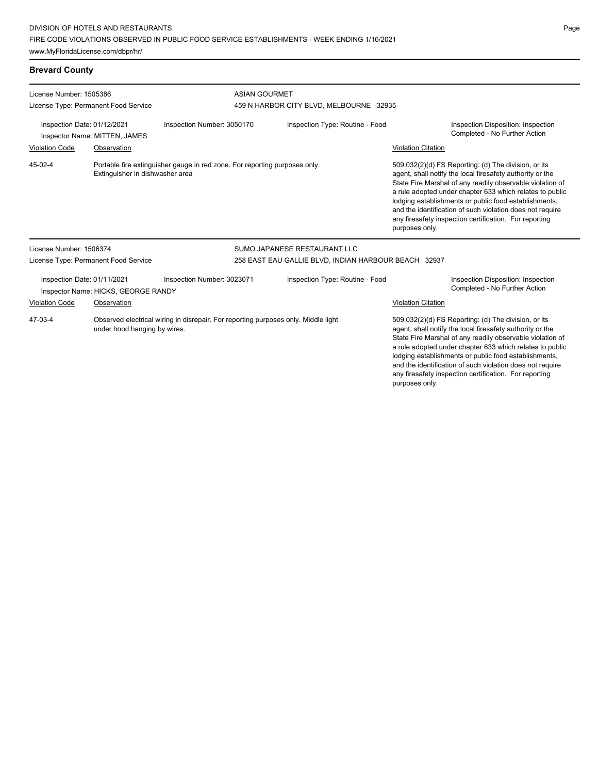### **Brevard County**

| License Number: 1505386                                                                                                       |                                      | <b>ASIAN GOURMET</b>                                                       |                                         |                                                                                                                                                                                                                                                                                                                                                                                                                                              |  |
|-------------------------------------------------------------------------------------------------------------------------------|--------------------------------------|----------------------------------------------------------------------------|-----------------------------------------|----------------------------------------------------------------------------------------------------------------------------------------------------------------------------------------------------------------------------------------------------------------------------------------------------------------------------------------------------------------------------------------------------------------------------------------------|--|
|                                                                                                                               | License Type: Permanent Food Service |                                                                            | 459 N HARBOR CITY BLVD, MELBOURNE 32935 |                                                                                                                                                                                                                                                                                                                                                                                                                                              |  |
| Inspection Date: 01/12/2021<br>Inspector Name: MITTEN, JAMES                                                                  |                                      | Inspection Number: 3050170                                                 | Inspection Type: Routine - Food         | Inspection Disposition: Inspection<br>Completed - No Further Action                                                                                                                                                                                                                                                                                                                                                                          |  |
| <b>Violation Code</b>                                                                                                         | Observation                          |                                                                            |                                         | <b>Violation Citation</b>                                                                                                                                                                                                                                                                                                                                                                                                                    |  |
| 45-02-4                                                                                                                       | Extinguisher in dishwasher area      | Portable fire extinguisher gauge in red zone. For reporting purposes only. |                                         | 509.032(2)(d) FS Reporting: (d) The division, or its<br>agent, shall notify the local firesafety authority or the<br>State Fire Marshal of any readily observable violation of<br>a rule adopted under chapter 633 which relates to public<br>lodging establishments or public food establishments,<br>and the identification of such violation does not require<br>any firesafety inspection certification. For reporting<br>purposes only. |  |
| License Number: 1506374                                                                                                       |                                      |                                                                            | SUMO JAPANESE RESTAURANT LLC            |                                                                                                                                                                                                                                                                                                                                                                                                                                              |  |
|                                                                                                                               | License Type: Permanent Food Service | 258 EAST EAU GALLIE BLVD, INDIAN HARBOUR BEACH 32937                       |                                         |                                                                                                                                                                                                                                                                                                                                                                                                                                              |  |
| Inspection Date: 01/11/2021<br>Inspector Name: HICKS, GEORGE RANDY                                                            |                                      | Inspection Number: 3023071<br>Inspection Type: Routine - Food              |                                         | Inspection Disposition: Inspection<br>Completed - No Further Action                                                                                                                                                                                                                                                                                                                                                                          |  |
| <b>Violation Code</b>                                                                                                         | Observation                          |                                                                            |                                         | <b>Violation Citation</b>                                                                                                                                                                                                                                                                                                                                                                                                                    |  |
| 47-03-4<br>Observed electrical wiring in disrepair. For reporting purposes only. Middle light<br>under hood hanging by wires. |                                      |                                                                            |                                         | 509.032(2)(d) FS Reporting: (d) The division, or its<br>agent, shall notify the local firesafety authority or the<br>State Fire Marshal of any readily observable violation of<br>a rule adopted under chapter 633 which relates to public<br>lodging establishments or public food establishments,<br>and the identification of such violation does not require<br>any firesafety inspection certification. For reporting<br>purposes only. |  |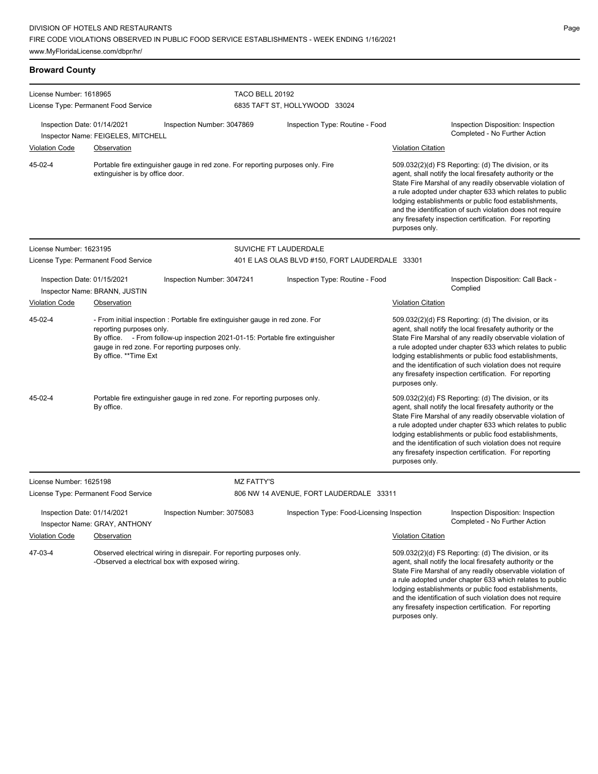### **Broward County**

| License Number: 1618965                                                                                                             |                                                                                                                                                                                                                                                                        | TACO BELL 20192                                                                 |                                                 |                                                                                                                                                                                                                                                                                                                                                                                                                                              |                                                                                                                                                                                                                                                                                                                                                                  |  |
|-------------------------------------------------------------------------------------------------------------------------------------|------------------------------------------------------------------------------------------------------------------------------------------------------------------------------------------------------------------------------------------------------------------------|---------------------------------------------------------------------------------|-------------------------------------------------|----------------------------------------------------------------------------------------------------------------------------------------------------------------------------------------------------------------------------------------------------------------------------------------------------------------------------------------------------------------------------------------------------------------------------------------------|------------------------------------------------------------------------------------------------------------------------------------------------------------------------------------------------------------------------------------------------------------------------------------------------------------------------------------------------------------------|--|
|                                                                                                                                     | License Type: Permanent Food Service                                                                                                                                                                                                                                   |                                                                                 | 6835 TAFT ST, HOLLYWOOD 33024                   |                                                                                                                                                                                                                                                                                                                                                                                                                                              |                                                                                                                                                                                                                                                                                                                                                                  |  |
| Inspection Date: 01/14/2021<br><b>Violation Code</b>                                                                                | Inspector Name: FEIGELES, MITCHELL<br>Observation                                                                                                                                                                                                                      | Inspection Number: 3047869                                                      | Inspection Type: Routine - Food                 | <b>Violation Citation</b>                                                                                                                                                                                                                                                                                                                                                                                                                    | Inspection Disposition: Inspection<br>Completed - No Further Action                                                                                                                                                                                                                                                                                              |  |
| 45-02-4                                                                                                                             | extinguisher is by office door.                                                                                                                                                                                                                                        | Portable fire extinguisher gauge in red zone. For reporting purposes only. Fire |                                                 | 509.032(2)(d) FS Reporting: (d) The division, or its<br>agent, shall notify the local firesafety authority or the<br>State Fire Marshal of any readily observable violation of                                                                                                                                                                                                                                                               |                                                                                                                                                                                                                                                                                                                                                                  |  |
|                                                                                                                                     |                                                                                                                                                                                                                                                                        |                                                                                 |                                                 |                                                                                                                                                                                                                                                                                                                                                                                                                                              | a rule adopted under chapter 633 which relates to public<br>lodging establishments or public food establishments,<br>and the identification of such violation does not require<br>any firesafety inspection certification. For reporting                                                                                                                         |  |
| License Number: 1623195                                                                                                             |                                                                                                                                                                                                                                                                        |                                                                                 | SUVICHE FT LAUDERDALE                           |                                                                                                                                                                                                                                                                                                                                                                                                                                              |                                                                                                                                                                                                                                                                                                                                                                  |  |
|                                                                                                                                     | License Type: Permanent Food Service                                                                                                                                                                                                                                   |                                                                                 | 401 E LAS OLAS BLVD #150, FORT LAUDERDALE 33301 |                                                                                                                                                                                                                                                                                                                                                                                                                                              |                                                                                                                                                                                                                                                                                                                                                                  |  |
| Inspection Date: 01/15/2021                                                                                                         | Inspector Name: BRANN, JUSTIN                                                                                                                                                                                                                                          | Inspection Number: 3047241                                                      | Inspection Type: Routine - Food                 | Inspection Disposition: Call Back -<br>Complied                                                                                                                                                                                                                                                                                                                                                                                              |                                                                                                                                                                                                                                                                                                                                                                  |  |
| <b>Violation Code</b>                                                                                                               | Observation                                                                                                                                                                                                                                                            |                                                                                 |                                                 | <b>Violation Citation</b>                                                                                                                                                                                                                                                                                                                                                                                                                    |                                                                                                                                                                                                                                                                                                                                                                  |  |
| 45-02-4                                                                                                                             | - From initial inspection : Portable fire extinguisher gauge in red zone. For<br>reporting purposes only.<br>By office. - From follow-up inspection 2021-01-15: Portable fire extinguisher<br>gauge in red zone. For reporting purposes only.<br>By office. **Time Ext |                                                                                 |                                                 | 509.032(2)(d) FS Reporting: (d) The division, or its<br>agent, shall notify the local firesafety authority or the<br>State Fire Marshal of any readily observable violation of<br>a rule adopted under chapter 633 which relates to public<br>lodging establishments or public food establishments,<br>and the identification of such violation does not require<br>any firesafety inspection certification. For reporting<br>purposes only. |                                                                                                                                                                                                                                                                                                                                                                  |  |
| 45-02-4                                                                                                                             | By office.                                                                                                                                                                                                                                                             | Portable fire extinguisher gauge in red zone. For reporting purposes only.      |                                                 | 509.032(2)(d) FS Reporting: (d) The division, or its<br>agent, shall notify the local firesafety authority or the<br>State Fire Marshal of any readily observable violation of<br>a rule adopted under chapter 633 which relates to public<br>lodging establishments or public food establishments,<br>and the identification of such violation does not require<br>any firesafety inspection certification. For reporting<br>purposes only. |                                                                                                                                                                                                                                                                                                                                                                  |  |
| License Number: 1625198                                                                                                             |                                                                                                                                                                                                                                                                        | <b>MZ FATTY'S</b>                                                               |                                                 |                                                                                                                                                                                                                                                                                                                                                                                                                                              |                                                                                                                                                                                                                                                                                                                                                                  |  |
|                                                                                                                                     | License Type: Permanent Food Service                                                                                                                                                                                                                                   |                                                                                 | 806 NW 14 AVENUE, FORT LAUDERDALE 33311         |                                                                                                                                                                                                                                                                                                                                                                                                                                              |                                                                                                                                                                                                                                                                                                                                                                  |  |
| Inspection Date: 01/14/2021                                                                                                         | Inspector Name: GRAY, ANTHONY                                                                                                                                                                                                                                          | Inspection Number: 3075083                                                      | Inspection Type: Food-Licensing Inspection      |                                                                                                                                                                                                                                                                                                                                                                                                                                              | Inspection Disposition: Inspection<br>Completed - No Further Action                                                                                                                                                                                                                                                                                              |  |
| <b>Violation Code</b>                                                                                                               | Observation                                                                                                                                                                                                                                                            |                                                                                 |                                                 | <b>Violation Citation</b>                                                                                                                                                                                                                                                                                                                                                                                                                    |                                                                                                                                                                                                                                                                                                                                                                  |  |
| 47-03-4<br>Observed electrical wiring in disrepair. For reporting purposes only.<br>-Observed a electrical box with exposed wiring. |                                                                                                                                                                                                                                                                        |                                                                                 |                                                 |                                                                                                                                                                                                                                                                                                                                                                                                                                              | 509.032(2)(d) FS Reporting: (d) The division, or its<br>agent, shall notify the local firesafety authority or the<br>State Fire Marshal of any readily observable violation of<br>a rule adopted under chapter 633 which relates to public<br>lodging establishments or public food establishments,<br>and the identification of such violation does not require |  |

any firesafety inspection certification. For reporting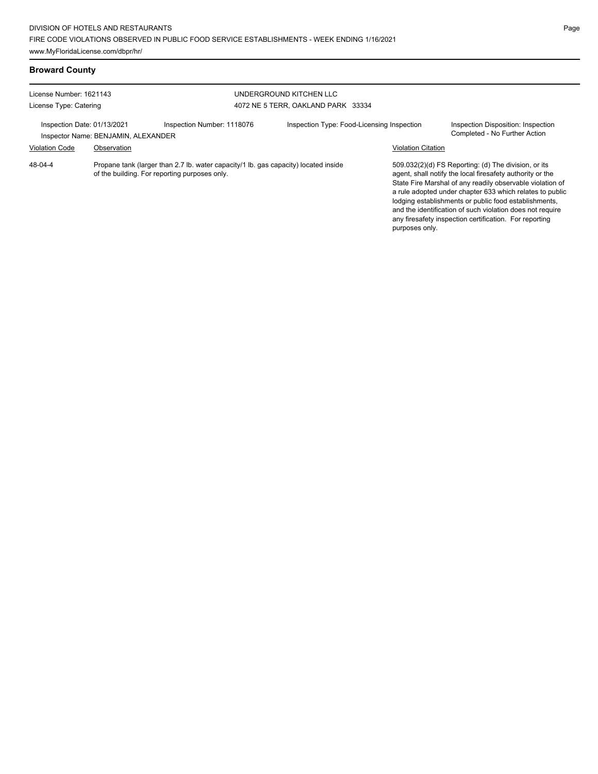### **Broward County**

| License Number: 1621143<br>License Type: Catering |                                     |                                                                                                                                      | UNDERGROUND KITCHEN LLC<br>4072 NE 5 TERR. OAKLAND PARK 33334 |                           |                                                                                                                                                                                                                                                                                                                                                                                                                            |  |
|---------------------------------------------------|-------------------------------------|--------------------------------------------------------------------------------------------------------------------------------------|---------------------------------------------------------------|---------------------------|----------------------------------------------------------------------------------------------------------------------------------------------------------------------------------------------------------------------------------------------------------------------------------------------------------------------------------------------------------------------------------------------------------------------------|--|
| Inspection Date: 01/13/2021                       | Inspector Name: BENJAMIN, ALEXANDER | Inspection Number: 1118076                                                                                                           | Inspection Type: Food-Licensing Inspection                    |                           | Inspection Disposition: Inspection<br>Completed - No Further Action                                                                                                                                                                                                                                                                                                                                                        |  |
| <b>Violation Code</b>                             | Observation                         |                                                                                                                                      |                                                               | <b>Violation Citation</b> |                                                                                                                                                                                                                                                                                                                                                                                                                            |  |
| $48 - 04 - 4$                                     |                                     | Propane tank (larger than 2.7 lb. water capacity/1 lb. gas capacity) located inside<br>of the building. For reporting purposes only. |                                                               |                           | 509.032(2)(d) FS Reporting: (d) The division, or its<br>agent, shall notify the local firesafety authority or the<br>State Fire Marshal of any readily observable violation of<br>a rule adopted under chapter 633 which relates to public<br>lodging establishments or public food establishments.<br>and the identification of such violation does not require<br>any firesafety inspection certification. For reporting |  |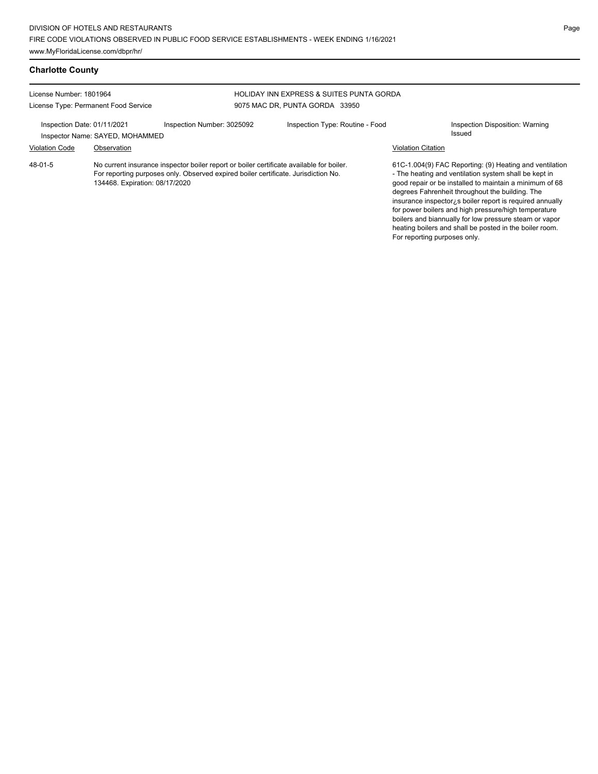### **Charlotte County**

| License Number: 1801964              |                                 |                                                                                                                                                                                | HOLIDAY INN EXPRESS & SUITES PUNTA GORDA |                                                                                                                                                                                                                                                                                                                                                                                                                                                                                                           |                                           |  |
|--------------------------------------|---------------------------------|--------------------------------------------------------------------------------------------------------------------------------------------------------------------------------|------------------------------------------|-----------------------------------------------------------------------------------------------------------------------------------------------------------------------------------------------------------------------------------------------------------------------------------------------------------------------------------------------------------------------------------------------------------------------------------------------------------------------------------------------------------|-------------------------------------------|--|
| License Type: Permanent Food Service |                                 |                                                                                                                                                                                | 9075 MAC DR, PUNTA GORDA 33950           |                                                                                                                                                                                                                                                                                                                                                                                                                                                                                                           |                                           |  |
| Inspection Date: 01/11/2021          | Inspector Name: SAYED, MOHAMMED | Inspection Number: 3025092                                                                                                                                                     | Inspection Type: Routine - Food          |                                                                                                                                                                                                                                                                                                                                                                                                                                                                                                           | Inspection Disposition: Warning<br>Issued |  |
| <b>Violation Code</b>                | Observation                     |                                                                                                                                                                                |                                          | <b>Violation Citation</b>                                                                                                                                                                                                                                                                                                                                                                                                                                                                                 |                                           |  |
| 48-01-5                              | 134468. Expiration: 08/17/2020  | No current insurance inspector boiler report or boiler certificate available for boiler.<br>For reporting purposes only. Observed expired boiler certificate. Jurisdiction No. |                                          | 61C-1.004(9) FAC Reporting: (9) Heating and ventilation<br>- The heating and ventilation system shall be kept in<br>good repair or be installed to maintain a minimum of 68<br>degrees Fahrenheit throughout the building. The<br>insurance inspector, is boiler report is required annually<br>for power boilers and high pressure/high temperature<br>boilers and biannually for low pressure steam or vapor<br>heating boilers and shall be posted in the boiler room.<br>For reporting purposes only. |                                           |  |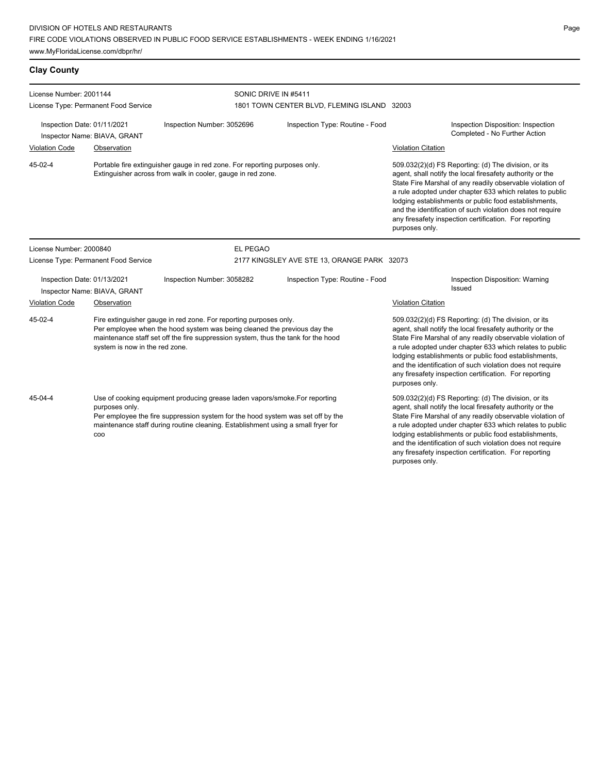### **Clay County**

| License Number: 2001144                                     |                                                                                                                                                                                                                                                                            | SONIC DRIVE IN #5411                                                                                                                      |                                             |                                                                                                                                                                                                                                                                                                                                                                                                                                              |
|-------------------------------------------------------------|----------------------------------------------------------------------------------------------------------------------------------------------------------------------------------------------------------------------------------------------------------------------------|-------------------------------------------------------------------------------------------------------------------------------------------|---------------------------------------------|----------------------------------------------------------------------------------------------------------------------------------------------------------------------------------------------------------------------------------------------------------------------------------------------------------------------------------------------------------------------------------------------------------------------------------------------|
|                                                             | License Type: Permanent Food Service                                                                                                                                                                                                                                       |                                                                                                                                           | 1801 TOWN CENTER BLVD, FLEMING ISLAND 32003 |                                                                                                                                                                                                                                                                                                                                                                                                                                              |
| Inspection Date: 01/11/2021<br>Inspector Name: BIAVA, GRANT |                                                                                                                                                                                                                                                                            | Inspection Number: 3052696                                                                                                                | Inspection Type: Routine - Food             | Inspection Disposition: Inspection<br>Completed - No Further Action                                                                                                                                                                                                                                                                                                                                                                          |
| <b>Violation Code</b>                                       | Observation                                                                                                                                                                                                                                                                |                                                                                                                                           |                                             | <b>Violation Citation</b>                                                                                                                                                                                                                                                                                                                                                                                                                    |
| 45-02-4                                                     |                                                                                                                                                                                                                                                                            | Portable fire extinguisher gauge in red zone. For reporting purposes only.<br>Extinguisher across from walk in cooler, gauge in red zone. |                                             | 509.032(2)(d) FS Reporting: (d) The division, or its<br>agent, shall notify the local firesafety authority or the<br>State Fire Marshal of any readily observable violation of<br>a rule adopted under chapter 633 which relates to public<br>lodging establishments or public food establishments,<br>and the identification of such violation does not require<br>any firesafety inspection certification. For reporting<br>purposes only. |
| License Number: 2000840                                     |                                                                                                                                                                                                                                                                            | <b>EL PEGAO</b>                                                                                                                           |                                             |                                                                                                                                                                                                                                                                                                                                                                                                                                              |
|                                                             | License Type: Permanent Food Service                                                                                                                                                                                                                                       |                                                                                                                                           | 2177 KINGSLEY AVE STE 13, ORANGE PARK 32073 |                                                                                                                                                                                                                                                                                                                                                                                                                                              |
| Inspection Date: 01/13/2021<br>Inspector Name: BIAVA, GRANT |                                                                                                                                                                                                                                                                            | Inspection Number: 3058282                                                                                                                | Inspection Type: Routine - Food             | Inspection Disposition: Warning<br><b>Issued</b>                                                                                                                                                                                                                                                                                                                                                                                             |
| Violation Code                                              | Observation                                                                                                                                                                                                                                                                |                                                                                                                                           |                                             | <b>Violation Citation</b>                                                                                                                                                                                                                                                                                                                                                                                                                    |
| 45-02-4                                                     | Fire extinguisher gauge in red zone. For reporting purposes only.<br>Per employee when the hood system was being cleaned the previous day the<br>maintenance staff set off the fire suppression system, thus the tank for the hood<br>system is now in the red zone.       |                                                                                                                                           |                                             | 509.032(2)(d) FS Reporting: (d) The division, or its<br>agent, shall notify the local firesafety authority or the<br>State Fire Marshal of any readily observable violation of<br>a rule adopted under chapter 633 which relates to public<br>lodging establishments or public food establishments,<br>and the identification of such violation does not require<br>any firesafety inspection certification. For reporting<br>purposes only. |
| 45-04-4                                                     | Use of cooking equipment producing grease laden vapors/smoke.For reporting<br>purposes only.<br>Per employee the fire suppression system for the hood system was set off by the<br>maintenance staff during routine cleaning. Establishment using a small fryer for<br>COO |                                                                                                                                           |                                             | 509.032(2)(d) FS Reporting: (d) The division, or its<br>agent, shall notify the local firesafety authority or the<br>State Fire Marshal of any readily observable violation of<br>a rule adopted under chapter 633 which relates to public<br>lodging establishments or public food establishments,<br>and the identification of such violation does not require<br>any firesafety inspection certification. For reporting                   |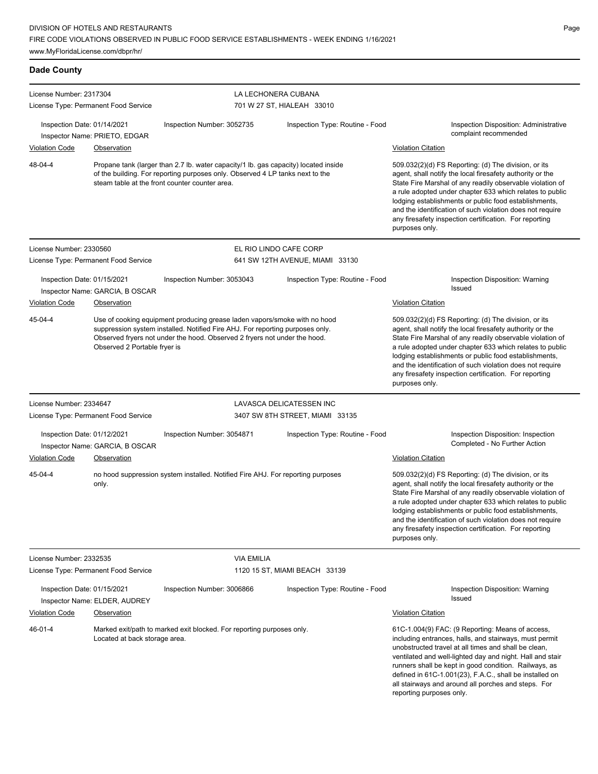# **Dade County**

| License Number: 2317304              |                                                                                                                                                                                                                        |                                                                                                                                                                                                                                         | LA LECHONERA CUBANA                                                                                                                                                                                                                                                                                                                                                                                                                          |                                                                                                                                                                                                                                                                                                                                                                                                                                              |
|--------------------------------------|------------------------------------------------------------------------------------------------------------------------------------------------------------------------------------------------------------------------|-----------------------------------------------------------------------------------------------------------------------------------------------------------------------------------------------------------------------------------------|----------------------------------------------------------------------------------------------------------------------------------------------------------------------------------------------------------------------------------------------------------------------------------------------------------------------------------------------------------------------------------------------------------------------------------------------|----------------------------------------------------------------------------------------------------------------------------------------------------------------------------------------------------------------------------------------------------------------------------------------------------------------------------------------------------------------------------------------------------------------------------------------------|
|                                      | License Type: Permanent Food Service                                                                                                                                                                                   |                                                                                                                                                                                                                                         | 701 W 27 ST, HIALEAH 33010                                                                                                                                                                                                                                                                                                                                                                                                                   |                                                                                                                                                                                                                                                                                                                                                                                                                                              |
| Inspection Date: 01/14/2021          | Inspector Name: PRIETO, EDGAR                                                                                                                                                                                          | Inspection Number: 3052735                                                                                                                                                                                                              | Inspection Type: Routine - Food                                                                                                                                                                                                                                                                                                                                                                                                              | <b>Inspection Disposition: Administrative</b><br>complaint recommended                                                                                                                                                                                                                                                                                                                                                                       |
| <b>Violation Code</b>                | <b>Observation</b>                                                                                                                                                                                                     |                                                                                                                                                                                                                                         |                                                                                                                                                                                                                                                                                                                                                                                                                                              | <b>Violation Citation</b>                                                                                                                                                                                                                                                                                                                                                                                                                    |
| 48-04-4                              | Propane tank (larger than 2.7 lb. water capacity/1 lb. gas capacity) located inside<br>of the building. For reporting purposes only. Observed 4 LP tanks next to the<br>steam table at the front counter counter area. |                                                                                                                                                                                                                                         | 509.032(2)(d) FS Reporting: (d) The division, or its<br>agent, shall notify the local firesafety authority or the<br>State Fire Marshal of any readily observable violation of<br>a rule adopted under chapter 633 which relates to public<br>lodging establishments or public food establishments,<br>and the identification of such violation does not require<br>any firesafety inspection certification. For reporting<br>purposes only. |                                                                                                                                                                                                                                                                                                                                                                                                                                              |
| License Number: 2330560              |                                                                                                                                                                                                                        |                                                                                                                                                                                                                                         | EL RIO LINDO CAFE CORP                                                                                                                                                                                                                                                                                                                                                                                                                       |                                                                                                                                                                                                                                                                                                                                                                                                                                              |
|                                      | License Type: Permanent Food Service                                                                                                                                                                                   |                                                                                                                                                                                                                                         | 641 SW 12TH AVENUE, MIAMI 33130                                                                                                                                                                                                                                                                                                                                                                                                              |                                                                                                                                                                                                                                                                                                                                                                                                                                              |
| Inspection Date: 01/15/2021          | Inspector Name: GARCIA, B OSCAR                                                                                                                                                                                        | Inspection Number: 3053043                                                                                                                                                                                                              | Inspection Type: Routine - Food                                                                                                                                                                                                                                                                                                                                                                                                              | Inspection Disposition: Warning<br>Issued                                                                                                                                                                                                                                                                                                                                                                                                    |
| <b>Violation Code</b>                | Observation                                                                                                                                                                                                            |                                                                                                                                                                                                                                         |                                                                                                                                                                                                                                                                                                                                                                                                                                              | <b>Violation Citation</b>                                                                                                                                                                                                                                                                                                                                                                                                                    |
| 45-04-4                              | Observed 2 Portable fryer is                                                                                                                                                                                           | Use of cooking equipment producing grease laden vapors/smoke with no hood<br>suppression system installed. Notified Fire AHJ. For reporting purposes only.<br>Observed fryers not under the hood. Observed 2 fryers not under the hood. |                                                                                                                                                                                                                                                                                                                                                                                                                                              | 509.032(2)(d) FS Reporting: (d) The division, or its<br>agent, shall notify the local firesafety authority or the<br>State Fire Marshal of any readily observable violation of<br>a rule adopted under chapter 633 which relates to public<br>lodging establishments or public food establishments,<br>and the identification of such violation does not require<br>any firesafety inspection certification. For reporting<br>purposes only. |
| License Number: 2334647              |                                                                                                                                                                                                                        |                                                                                                                                                                                                                                         | LAVASCA DELICATESSEN INC                                                                                                                                                                                                                                                                                                                                                                                                                     |                                                                                                                                                                                                                                                                                                                                                                                                                                              |
| License Type: Permanent Food Service |                                                                                                                                                                                                                        |                                                                                                                                                                                                                                         | 3407 SW 8TH STREET, MIAMI 33135                                                                                                                                                                                                                                                                                                                                                                                                              |                                                                                                                                                                                                                                                                                                                                                                                                                                              |
| Inspection Date: 01/12/2021          | Inspector Name: GARCIA, B OSCAR                                                                                                                                                                                        | Inspection Number: 3054871                                                                                                                                                                                                              | Inspection Type: Routine - Food                                                                                                                                                                                                                                                                                                                                                                                                              | Inspection Disposition: Inspection<br>Completed - No Further Action                                                                                                                                                                                                                                                                                                                                                                          |
| <b>Violation Code</b>                | <b>Observation</b>                                                                                                                                                                                                     |                                                                                                                                                                                                                                         |                                                                                                                                                                                                                                                                                                                                                                                                                                              | <b>Violation Citation</b>                                                                                                                                                                                                                                                                                                                                                                                                                    |
| 45-04-4                              | only.                                                                                                                                                                                                                  | no hood suppression system installed. Notified Fire AHJ. For reporting purposes                                                                                                                                                         |                                                                                                                                                                                                                                                                                                                                                                                                                                              | 509.032(2)(d) FS Reporting: (d) The division, or its<br>agent, shall notify the local firesafety authority or the<br>State Fire Marshal of any readily observable violation of<br>a rule adopted under chapter 633 which relates to public<br>lodging establishments or public food establishments<br>and the identification of such violation does not require<br>any firesafety inspection certification. For reporting<br>purposes only.  |
| License Number: 2332535              |                                                                                                                                                                                                                        | <b>VIA EMILIA</b>                                                                                                                                                                                                                       |                                                                                                                                                                                                                                                                                                                                                                                                                                              |                                                                                                                                                                                                                                                                                                                                                                                                                                              |
|                                      | License Type: Permanent Food Service                                                                                                                                                                                   |                                                                                                                                                                                                                                         | 1120 15 ST, MIAMI BEACH 33139                                                                                                                                                                                                                                                                                                                                                                                                                |                                                                                                                                                                                                                                                                                                                                                                                                                                              |
| Inspection Date: 01/15/2021          | Inspector Name: ELDER, AUDREY                                                                                                                                                                                          | Inspection Number: 3006866                                                                                                                                                                                                              | Inspection Type: Routine - Food                                                                                                                                                                                                                                                                                                                                                                                                              | Inspection Disposition: Warning<br>Issued                                                                                                                                                                                                                                                                                                                                                                                                    |
| <b>Violation Code</b>                | Observation                                                                                                                                                                                                            |                                                                                                                                                                                                                                         |                                                                                                                                                                                                                                                                                                                                                                                                                                              | <b>Violation Citation</b>                                                                                                                                                                                                                                                                                                                                                                                                                    |
| 46-01-4                              | Located at back storage area.                                                                                                                                                                                          | Marked exit/path to marked exit blocked. For reporting purposes only.                                                                                                                                                                   |                                                                                                                                                                                                                                                                                                                                                                                                                                              | 61C-1.004(9) FAC: (9 Reporting: Means of access,<br>including entrances, halls, and stairways, must permit<br>unobstructed travel at all times and shall be clean,<br>ventilated and well-lighted day and night. Hall and stair<br>runners shall be kept in good condition. Railways, as<br>defined in 61C-1.001(23), F.A.C., shall be installed on<br>all stairways and around all porches and steps. For<br>reporting purposes only.       |

L,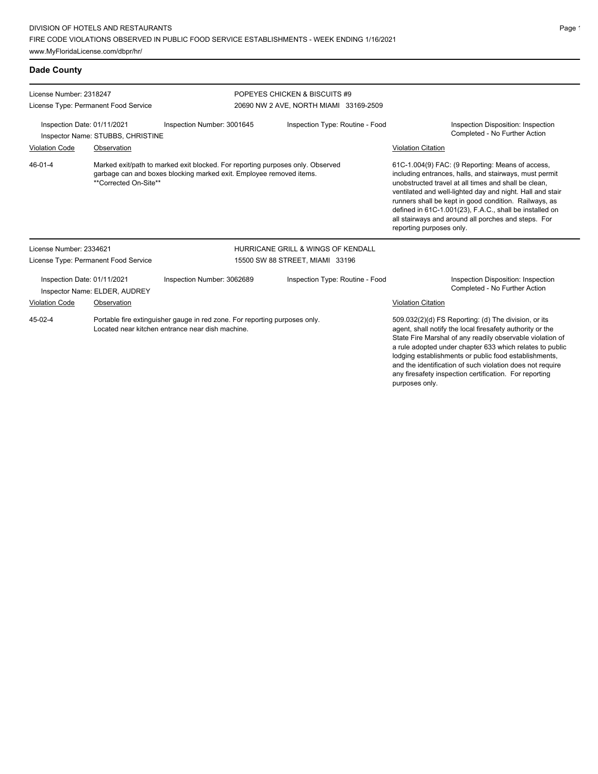# **Dade County**

| License Number: 2318247                                                                                                                   |                                                                                                                                                                                |                            | POPEYES CHICKEN & BISCUITS #9                                                                                                                                                                                                                                                                                                                                    |                                                                                                                                                                                                                                                                                                                                                                                                                                        |  |  |
|-------------------------------------------------------------------------------------------------------------------------------------------|--------------------------------------------------------------------------------------------------------------------------------------------------------------------------------|----------------------------|------------------------------------------------------------------------------------------------------------------------------------------------------------------------------------------------------------------------------------------------------------------------------------------------------------------------------------------------------------------|----------------------------------------------------------------------------------------------------------------------------------------------------------------------------------------------------------------------------------------------------------------------------------------------------------------------------------------------------------------------------------------------------------------------------------------|--|--|
|                                                                                                                                           | License Type: Permanent Food Service                                                                                                                                           |                            | 20690 NW 2 AVE, NORTH MIAMI 33169-2509                                                                                                                                                                                                                                                                                                                           |                                                                                                                                                                                                                                                                                                                                                                                                                                        |  |  |
| Inspection Date: 01/11/2021<br>Inspector Name: STUBBS, CHRISTINE                                                                          |                                                                                                                                                                                | Inspection Number: 3001645 | Inspection Type: Routine - Food                                                                                                                                                                                                                                                                                                                                  | Inspection Disposition: Inspection<br>Completed - No Further Action                                                                                                                                                                                                                                                                                                                                                                    |  |  |
| <b>Violation Code</b>                                                                                                                     | Observation                                                                                                                                                                    |                            |                                                                                                                                                                                                                                                                                                                                                                  | <b>Violation Citation</b>                                                                                                                                                                                                                                                                                                                                                                                                              |  |  |
| 46-01-4                                                                                                                                   | Marked exit/path to marked exit blocked. For reporting purposes only. Observed<br>garbage can and boxes blocking marked exit. Employee removed items.<br>**Corrected On-Site** |                            |                                                                                                                                                                                                                                                                                                                                                                  | 61C-1.004(9) FAC: (9 Reporting: Means of access,<br>including entrances, halls, and stairways, must permit<br>unobstructed travel at all times and shall be clean.<br>ventilated and well-lighted day and night. Hall and stair<br>runners shall be kept in good condition. Railways, as<br>defined in 61C-1.001(23), F.A.C., shall be installed on<br>all stairways and around all porches and steps. For<br>reporting purposes only. |  |  |
| License Number: 2334621                                                                                                                   |                                                                                                                                                                                |                            | HURRICANE GRILL & WINGS OF KENDALL                                                                                                                                                                                                                                                                                                                               |                                                                                                                                                                                                                                                                                                                                                                                                                                        |  |  |
|                                                                                                                                           | License Type: Permanent Food Service                                                                                                                                           |                            | 15500 SW 88 STREET, MIAMI 33196                                                                                                                                                                                                                                                                                                                                  |                                                                                                                                                                                                                                                                                                                                                                                                                                        |  |  |
| Inspection Date: 01/11/2021                                                                                                               | Inspector Name: ELDER, AUDREY                                                                                                                                                  | Inspection Number: 3062689 | Inspection Type: Routine - Food                                                                                                                                                                                                                                                                                                                                  | Inspection Disposition: Inspection<br>Completed - No Further Action                                                                                                                                                                                                                                                                                                                                                                    |  |  |
| <b>Violation Code</b>                                                                                                                     | Observation                                                                                                                                                                    |                            |                                                                                                                                                                                                                                                                                                                                                                  | Violation Citation                                                                                                                                                                                                                                                                                                                                                                                                                     |  |  |
| 45-02-4<br>Portable fire extinguisher gauge in red zone. For reporting purposes only.<br>Located near kitchen entrance near dish machine. |                                                                                                                                                                                |                            | 509.032(2)(d) FS Reporting: (d) The division, or its<br>agent, shall notify the local firesafety authority or the<br>State Fire Marshal of any readily observable violation of<br>a rule adopted under chapter 633 which relates to public<br>lodging establishments or public food establishments,<br>and the identification of such violation does not require |                                                                                                                                                                                                                                                                                                                                                                                                                                        |  |  |

any firesafety inspection certification. For reporting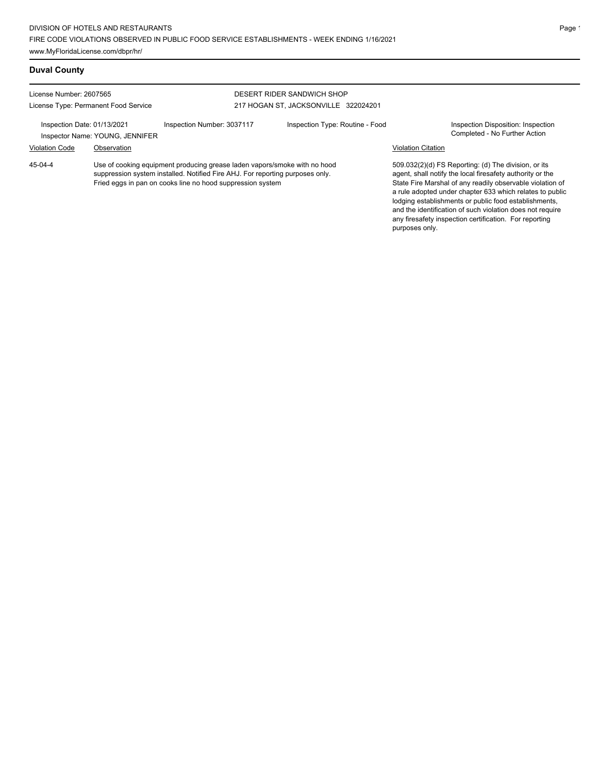# **Duval County**

| License Number: 2607565                                        |                                                                                                                                                                                                                          |                            | DESERT RIDER SANDWICH SHOP           |                           |                                                                                                                                                                                                                                                                                                                                                                  |  |
|----------------------------------------------------------------|--------------------------------------------------------------------------------------------------------------------------------------------------------------------------------------------------------------------------|----------------------------|--------------------------------------|---------------------------|------------------------------------------------------------------------------------------------------------------------------------------------------------------------------------------------------------------------------------------------------------------------------------------------------------------------------------------------------------------|--|
|                                                                | License Type: Permanent Food Service                                                                                                                                                                                     |                            | 217 HOGAN ST, JACKSONVILLE 322024201 |                           |                                                                                                                                                                                                                                                                                                                                                                  |  |
| Inspection Date: 01/13/2021<br>Inspector Name: YOUNG, JENNIFER |                                                                                                                                                                                                                          | Inspection Number: 3037117 | Inspection Type: Routine - Food      |                           | Inspection Disposition: Inspection<br>Completed - No Further Action                                                                                                                                                                                                                                                                                              |  |
| <b>Violation Code</b>                                          | Observation                                                                                                                                                                                                              |                            |                                      | <b>Violation Citation</b> |                                                                                                                                                                                                                                                                                                                                                                  |  |
| 45-04-4                                                        | Use of cooking equipment producing grease laden vapors/smoke with no hood<br>suppression system installed. Notified Fire AHJ. For reporting purposes only.<br>Fried eggs in pan on cooks line no hood suppression system |                            |                                      |                           | 509.032(2)(d) FS Reporting: (d) The division, or its<br>agent, shall notify the local firesafety authority or the<br>State Fire Marshal of any readily observable violation of<br>a rule adopted under chapter 633 which relates to public<br>lodging establishments or public food establishments,<br>and the identification of such violation does not require |  |

any firesafety inspection certification. For reporting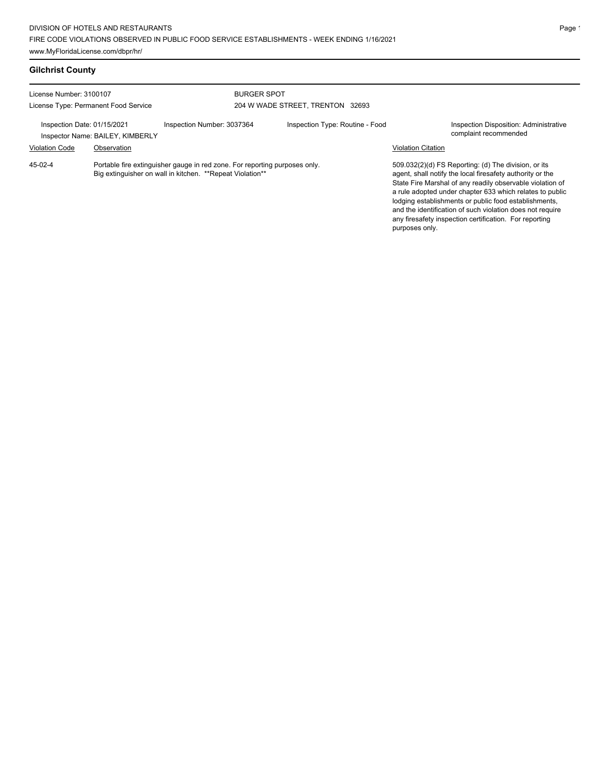### **Gilchrist County**

| License Number: 3100107<br>License Type: Permanent Food Service                               |                                                                                                                                         | <b>BURGER SPOT</b><br>204 W WADE STREET. TRENTON 32693 |                                 |  |                                                                 |                                                                                                                                                                                                                                                                                                                                                                                                                            |
|-----------------------------------------------------------------------------------------------|-----------------------------------------------------------------------------------------------------------------------------------------|--------------------------------------------------------|---------------------------------|--|-----------------------------------------------------------------|----------------------------------------------------------------------------------------------------------------------------------------------------------------------------------------------------------------------------------------------------------------------------------------------------------------------------------------------------------------------------------------------------------------------------|
| Inspection Number: 3037364<br>Inspection Date: 01/15/2021<br>Inspector Name: BAILEY, KIMBERLY |                                                                                                                                         |                                                        | Inspection Type: Routine - Food |  | Inspection Disposition: Administrative<br>complaint recommended |                                                                                                                                                                                                                                                                                                                                                                                                                            |
| <b>Violation Code</b>                                                                         | Observation                                                                                                                             |                                                        |                                 |  | <b>Violation Citation</b>                                       |                                                                                                                                                                                                                                                                                                                                                                                                                            |
| 45-02-4                                                                                       | Portable fire extinguisher gauge in red zone. For reporting purposes only.<br>Big extinguisher on wall in kitchen. **Repeat Violation** |                                                        |                                 |  |                                                                 | 509.032(2)(d) FS Reporting: (d) The division, or its<br>agent, shall notify the local firesafety authority or the<br>State Fire Marshal of any readily observable violation of<br>a rule adopted under chapter 633 which relates to public<br>lodging establishments or public food establishments.<br>and the identification of such violation does not require<br>any firesafety inspection certification. For reporting |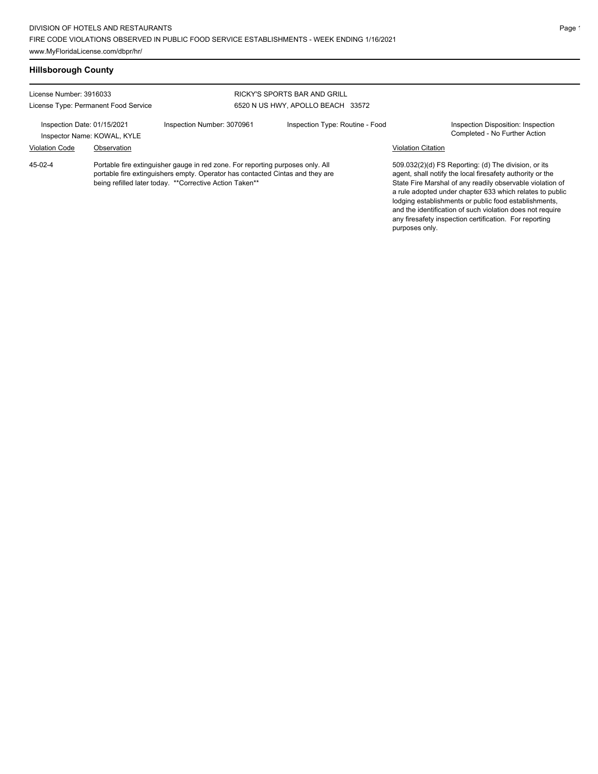# **Hillsborough County**

| License Number: 3916033                                    |                                                                                                                                                                                                                             |                            | RICKY'S SPORTS BAR AND GRILL      |                           |                                                                                                                                                                                                                                                                                                                                                                  |  |  |
|------------------------------------------------------------|-----------------------------------------------------------------------------------------------------------------------------------------------------------------------------------------------------------------------------|----------------------------|-----------------------------------|---------------------------|------------------------------------------------------------------------------------------------------------------------------------------------------------------------------------------------------------------------------------------------------------------------------------------------------------------------------------------------------------------|--|--|
| License Type: Permanent Food Service                       |                                                                                                                                                                                                                             |                            | 6520 N US HWY, APOLLO BEACH 33572 |                           |                                                                                                                                                                                                                                                                                                                                                                  |  |  |
| Inspection Date: 01/15/2021<br>Inspector Name: KOWAL, KYLE |                                                                                                                                                                                                                             | Inspection Number: 3070961 | Inspection Type: Routine - Food   |                           | Inspection Disposition: Inspection<br>Completed - No Further Action                                                                                                                                                                                                                                                                                              |  |  |
| <b>Violation Code</b>                                      | Observation                                                                                                                                                                                                                 |                            |                                   | <b>Violation Citation</b> |                                                                                                                                                                                                                                                                                                                                                                  |  |  |
| $45-02-4$                                                  | Portable fire extinguisher gauge in red zone. For reporting purposes only. All<br>portable fire extinquishers empty. Operator has contacted Cintas and they are<br>being refilled later today. ** Corrective Action Taken** |                            |                                   |                           | 509.032(2)(d) FS Reporting: (d) The division, or its<br>agent, shall notify the local firesafety authority or the<br>State Fire Marshal of any readily observable violation of<br>a rule adopted under chapter 633 which relates to public<br>lodging establishments or public food establishments,<br>and the identification of such violation does not require |  |  |

any firesafety inspection certification. For reporting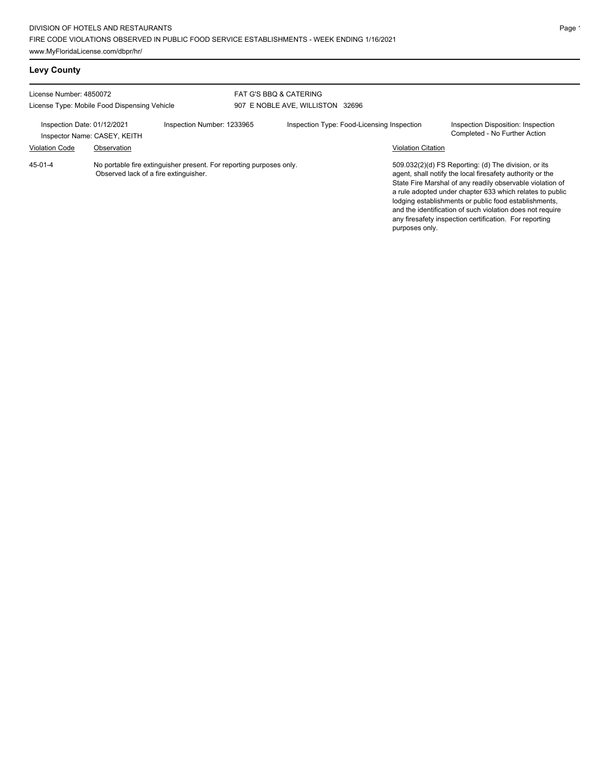# **Levy County**

| License Number: 4850072<br>License Type: Mobile Food Dispensing Vehicle                   |                                       |                                                                     | FAT G'S BBQ & CATERING<br>907 E NOBLE AVE, WILLISTON 32696 |  |  |                                                                     |                                                                                                                                                                                                                                                                                                                                                                                                                            |
|-------------------------------------------------------------------------------------------|---------------------------------------|---------------------------------------------------------------------|------------------------------------------------------------|--|--|---------------------------------------------------------------------|----------------------------------------------------------------------------------------------------------------------------------------------------------------------------------------------------------------------------------------------------------------------------------------------------------------------------------------------------------------------------------------------------------------------------|
| Inspection Date: 01/12/2021<br>Inspection Number: 1233965<br>Inspector Name: CASEY, KEITH |                                       |                                                                     | Inspection Type: Food-Licensing Inspection                 |  |  | Inspection Disposition: Inspection<br>Completed - No Further Action |                                                                                                                                                                                                                                                                                                                                                                                                                            |
| <b>Violation Code</b>                                                                     | Observation                           |                                                                     |                                                            |  |  | <b>Violation Citation</b>                                           |                                                                                                                                                                                                                                                                                                                                                                                                                            |
| $45 - 01 - 4$                                                                             | Observed lack of a fire extinguisher. | No portable fire extinguisher present. For reporting purposes only. |                                                            |  |  |                                                                     | 509.032(2)(d) FS Reporting: (d) The division, or its<br>agent, shall notify the local firesafety authority or the<br>State Fire Marshal of any readily observable violation of<br>a rule adopted under chapter 633 which relates to public<br>lodging establishments or public food establishments.<br>and the identification of such violation does not require<br>any firesafety inspection certification. For reporting |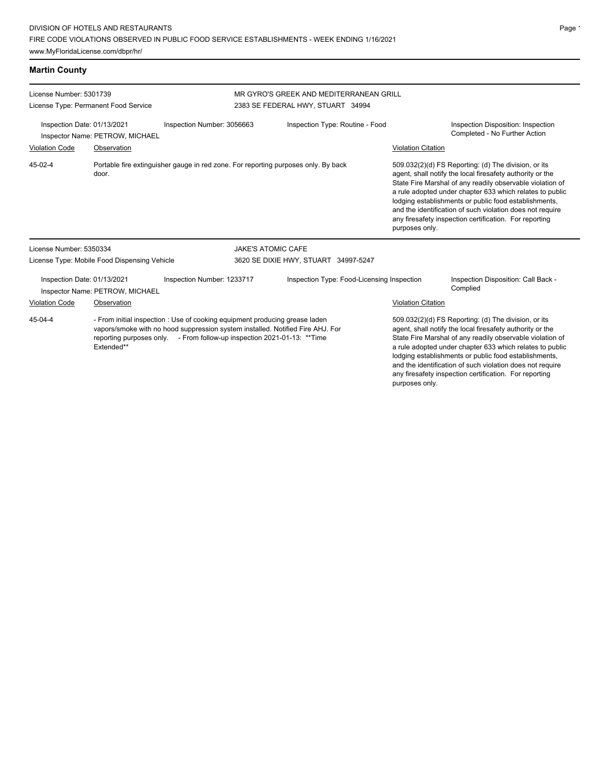# **Martin County**

| License Number: 5301739<br>License Type: Permanent Food Service |                                                                                                                                                                                                                                                         |                                                                                    | MR GYRO'S GREEK AND MEDITERRANEAN GRILL<br>2383 SE FEDERAL HWY, STUART 34994 |                                                                                                                                                                                                                                                                                                                                                                                                                                              |                           |                                                                                                                                                                                                                                                                                                                                                                                                                            |  |
|-----------------------------------------------------------------|---------------------------------------------------------------------------------------------------------------------------------------------------------------------------------------------------------------------------------------------------------|------------------------------------------------------------------------------------|------------------------------------------------------------------------------|----------------------------------------------------------------------------------------------------------------------------------------------------------------------------------------------------------------------------------------------------------------------------------------------------------------------------------------------------------------------------------------------------------------------------------------------|---------------------------|----------------------------------------------------------------------------------------------------------------------------------------------------------------------------------------------------------------------------------------------------------------------------------------------------------------------------------------------------------------------------------------------------------------------------|--|
| Inspection Date: 01/13/2021                                     | Inspector Name: PETROW, MICHAEL                                                                                                                                                                                                                         | Inspection Number: 3056663                                                         |                                                                              | Inspection Type: Routine - Food                                                                                                                                                                                                                                                                                                                                                                                                              |                           | Inspection Disposition: Inspection<br>Completed - No Further Action                                                                                                                                                                                                                                                                                                                                                        |  |
| <b>Violation Code</b>                                           | Observation                                                                                                                                                                                                                                             |                                                                                    |                                                                              |                                                                                                                                                                                                                                                                                                                                                                                                                                              | <b>Violation Citation</b> |                                                                                                                                                                                                                                                                                                                                                                                                                            |  |
| 45-02-4                                                         | door.                                                                                                                                                                                                                                                   | Portable fire extinguisher gauge in red zone. For reporting purposes only. By back |                                                                              |                                                                                                                                                                                                                                                                                                                                                                                                                                              | purposes only.            | 509.032(2)(d) FS Reporting: (d) The division, or its<br>agent, shall notify the local firesafety authority or the<br>State Fire Marshal of any readily observable violation of<br>a rule adopted under chapter 633 which relates to public<br>lodging establishments or public food establishments,<br>and the identification of such violation does not require<br>any firesafety inspection certification. For reporting |  |
| License Number: 5350334                                         |                                                                                                                                                                                                                                                         |                                                                                    | <b>JAKE'S ATOMIC CAFE</b>                                                    |                                                                                                                                                                                                                                                                                                                                                                                                                                              |                           |                                                                                                                                                                                                                                                                                                                                                                                                                            |  |
|                                                                 | License Type: Mobile Food Dispensing Vehicle                                                                                                                                                                                                            |                                                                                    |                                                                              | 3620 SE DIXIE HWY, STUART 34997-5247                                                                                                                                                                                                                                                                                                                                                                                                         |                           |                                                                                                                                                                                                                                                                                                                                                                                                                            |  |
| Inspection Date: 01/13/2021<br>Inspector Name: PETROW, MICHAEL  |                                                                                                                                                                                                                                                         | Inspection Number: 1233717                                                         |                                                                              | Inspection Type: Food-Licensing Inspection                                                                                                                                                                                                                                                                                                                                                                                                   |                           | Inspection Disposition: Call Back -<br>Complied                                                                                                                                                                                                                                                                                                                                                                            |  |
| <b>Violation Code</b>                                           | Observation                                                                                                                                                                                                                                             |                                                                                    |                                                                              |                                                                                                                                                                                                                                                                                                                                                                                                                                              | <b>Violation Citation</b> |                                                                                                                                                                                                                                                                                                                                                                                                                            |  |
| 45-04-4                                                         | - From initial inspection : Use of cooking equipment producing grease laden<br>vapors/smoke with no hood suppression system installed. Notified Fire AHJ. For<br>reporting purposes only. - From follow-up inspection 2021-01-13: ** Time<br>Extended** |                                                                                    |                                                                              | 509.032(2)(d) FS Reporting: (d) The division, or its<br>agent, shall notify the local firesafety authority or the<br>State Fire Marshal of any readily observable violation of<br>a rule adopted under chapter 633 which relates to public<br>lodging establishments or public food establishments,<br>and the identification of such violation does not require<br>any firesafety inspection certification. For reporting<br>purposes only. |                           |                                                                                                                                                                                                                                                                                                                                                                                                                            |  |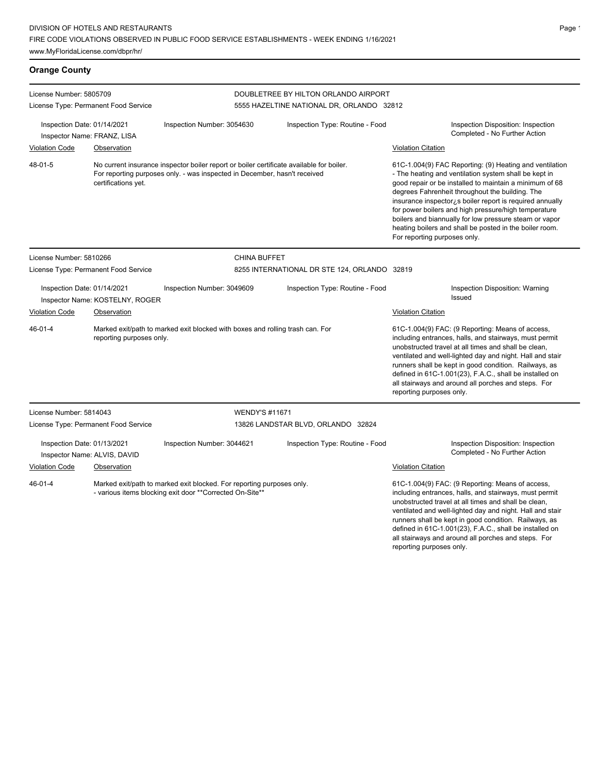# **Orange County**

| License Number: 5805709<br>License Type: Permanent Food Service                                                                               |                                                                                                                                                                                              |                                              | DOUBLETREE BY HILTON ORLANDO AIRPORT<br>5555 HAZELTINE NATIONAL DR, ORLANDO 32812                                                                                                                                                                                                                                                                                                                                                      |                                                                                                                                                                                                                                                                                                                                                                                                                                                                                                         |  |
|-----------------------------------------------------------------------------------------------------------------------------------------------|----------------------------------------------------------------------------------------------------------------------------------------------------------------------------------------------|----------------------------------------------|----------------------------------------------------------------------------------------------------------------------------------------------------------------------------------------------------------------------------------------------------------------------------------------------------------------------------------------------------------------------------------------------------------------------------------------|---------------------------------------------------------------------------------------------------------------------------------------------------------------------------------------------------------------------------------------------------------------------------------------------------------------------------------------------------------------------------------------------------------------------------------------------------------------------------------------------------------|--|
| Inspection Date: 01/14/2021<br>Inspector Name: FRANZ, LISA                                                                                    |                                                                                                                                                                                              | Inspection Number: 3054630                   | Inspection Type: Routine - Food                                                                                                                                                                                                                                                                                                                                                                                                        | Inspection Disposition: Inspection<br>Completed - No Further Action                                                                                                                                                                                                                                                                                                                                                                                                                                     |  |
| <b>Violation Code</b>                                                                                                                         | Observation                                                                                                                                                                                  |                                              |                                                                                                                                                                                                                                                                                                                                                                                                                                        | <b>Violation Citation</b>                                                                                                                                                                                                                                                                                                                                                                                                                                                                               |  |
| 48-01-5                                                                                                                                       | No current insurance inspector boiler report or boiler certificate available for boiler.<br>For reporting purposes only. - was inspected in December, hasn't received<br>certifications yet. |                                              |                                                                                                                                                                                                                                                                                                                                                                                                                                        | 61C-1.004(9) FAC Reporting: (9) Heating and ventilation<br>- The heating and ventilation system shall be kept in<br>good repair or be installed to maintain a minimum of 68<br>degrees Fahrenheit throughout the building. The<br>insurance inspector¿s boiler report is required annually<br>for power boilers and high pressure/high temperature<br>boilers and biannually for low pressure steam or vapor<br>heating boilers and shall be posted in the boiler room.<br>For reporting purposes only. |  |
| License Number: 5810266                                                                                                                       |                                                                                                                                                                                              | <b>CHINA BUFFET</b>                          |                                                                                                                                                                                                                                                                                                                                                                                                                                        |                                                                                                                                                                                                                                                                                                                                                                                                                                                                                                         |  |
|                                                                                                                                               | License Type: Permanent Food Service                                                                                                                                                         | 8255 INTERNATIONAL DR STE 124, ORLANDO 32819 |                                                                                                                                                                                                                                                                                                                                                                                                                                        |                                                                                                                                                                                                                                                                                                                                                                                                                                                                                                         |  |
| Inspection Date: 01/14/2021<br>Inspector Name: KOSTELNY, ROGER                                                                                |                                                                                                                                                                                              | Inspection Number: 3049609                   | Inspection Type: Routine - Food                                                                                                                                                                                                                                                                                                                                                                                                        | <b>Inspection Disposition: Warning</b><br>Issued                                                                                                                                                                                                                                                                                                                                                                                                                                                        |  |
| <b>Violation Code</b>                                                                                                                         | Observation                                                                                                                                                                                  |                                              |                                                                                                                                                                                                                                                                                                                                                                                                                                        | Violation Citation                                                                                                                                                                                                                                                                                                                                                                                                                                                                                      |  |
| 46-01-4                                                                                                                                       | Marked exit/path to marked exit blocked with boxes and rolling trash can. For<br>reporting purposes only.                                                                                    |                                              | 61C-1.004(9) FAC: (9 Reporting: Means of access,<br>including entrances, halls, and stairways, must permit<br>unobstructed travel at all times and shall be clean,<br>ventilated and well-lighted day and night. Hall and stair<br>runners shall be kept in good condition. Railways, as<br>defined in 61C-1.001(23), F.A.C., shall be installed on<br>all stairways and around all porches and steps. For<br>reporting purposes only. |                                                                                                                                                                                                                                                                                                                                                                                                                                                                                                         |  |
| License Number: 5814043                                                                                                                       |                                                                                                                                                                                              | <b>WENDY'S #11671</b>                        |                                                                                                                                                                                                                                                                                                                                                                                                                                        |                                                                                                                                                                                                                                                                                                                                                                                                                                                                                                         |  |
|                                                                                                                                               | License Type: Permanent Food Service                                                                                                                                                         |                                              | 13826 LANDSTAR BLVD, ORLANDO 32824                                                                                                                                                                                                                                                                                                                                                                                                     |                                                                                                                                                                                                                                                                                                                                                                                                                                                                                                         |  |
| Inspection Date: 01/13/2021                                                                                                                   | Inspector Name: ALVIS, DAVID                                                                                                                                                                 | Inspection Number: 3044621                   | Inspection Type: Routine - Food                                                                                                                                                                                                                                                                                                                                                                                                        | Inspection Disposition: Inspection<br>Completed - No Further Action                                                                                                                                                                                                                                                                                                                                                                                                                                     |  |
| <b>Violation Code</b>                                                                                                                         | Observation                                                                                                                                                                                  |                                              |                                                                                                                                                                                                                                                                                                                                                                                                                                        | <b>Violation Citation</b>                                                                                                                                                                                                                                                                                                                                                                                                                                                                               |  |
| 46-01-4<br>Marked exit/path to marked exit blocked. For reporting purposes only.<br>- various items blocking exit door ** Corrected On-Site** |                                                                                                                                                                                              |                                              | 61C-1.004(9) FAC: (9 Reporting: Means of access,<br>including entrances, halls, and stairways, must permit<br>unobstructed travel at all times and shall be clean,<br>المسالمات المساوية والمستوري والمساوي والمساوية المستورة والمستورة والمساوية                                                                                                                                                                                     |                                                                                                                                                                                                                                                                                                                                                                                                                                                                                                         |  |

ventilated and well-lighted day and night. Hall and stair runners shall be kept in good condition. Railways, as defined in 61C-1.001(23), F.A.C., shall be installed on all stairways and around all porches and steps. For reporting purposes only.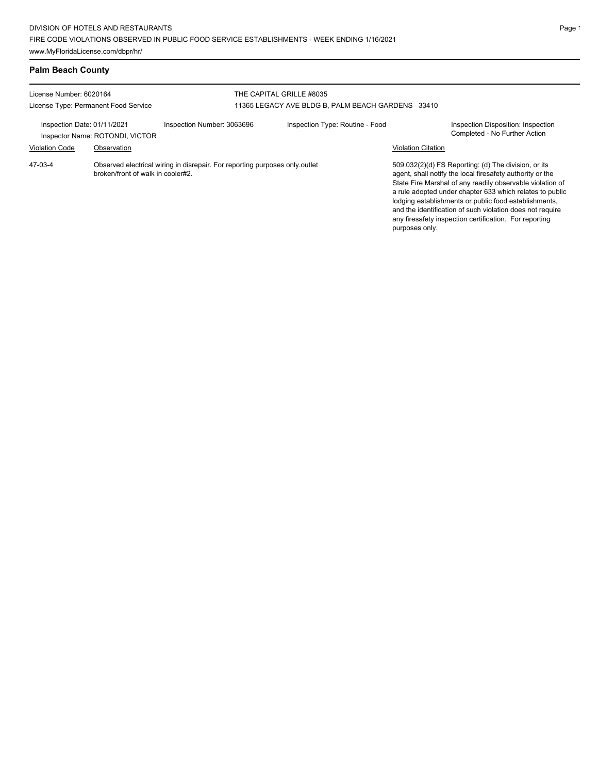### **Palm Beach County**

| License Number: 6020164<br>License Type: Permanent Food Service |                                                |                                                                             | THE CAPITAL GRILLE #8035<br>11365 LEGACY AVE BLDG B, PALM BEACH GARDENS 33410 |                           |                                                                                                                                                                                                                                                                                                                                                                                                                            |  |  |
|-----------------------------------------------------------------|------------------------------------------------|-----------------------------------------------------------------------------|-------------------------------------------------------------------------------|---------------------------|----------------------------------------------------------------------------------------------------------------------------------------------------------------------------------------------------------------------------------------------------------------------------------------------------------------------------------------------------------------------------------------------------------------------------|--|--|
| Inspection Date: 01/11/2021<br><b>Violation Code</b>            | Inspector Name: ROTONDI, VICTOR<br>Observation | Inspection Number: 3063696                                                  | Inspection Type: Routine - Food                                               | <b>Violation Citation</b> | Inspection Disposition: Inspection<br>Completed - No Further Action                                                                                                                                                                                                                                                                                                                                                        |  |  |
| 47-03-4                                                         | broken/front of walk in cooler#2.              | Observed electrical wiring in disrepair. For reporting purposes only outlet |                                                                               | purposes only.            | 509.032(2)(d) FS Reporting: (d) The division, or its<br>agent, shall notify the local firesafety authority or the<br>State Fire Marshal of any readily observable violation of<br>a rule adopted under chapter 633 which relates to public<br>lodging establishments or public food establishments,<br>and the identification of such violation does not require<br>any firesafety inspection certification. For reporting |  |  |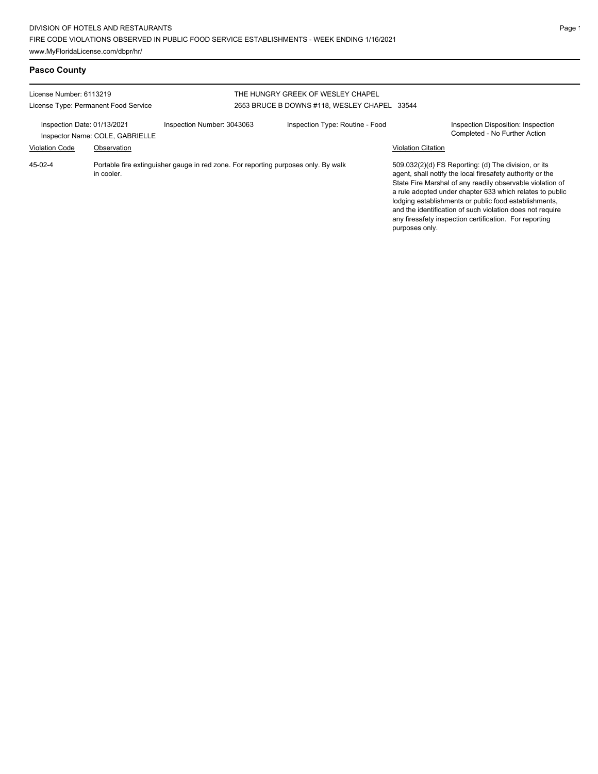### **Pasco County**

| License Number: 6113219<br>License Type: Permanent Food Service |                                                                                                                 |                            | THE HUNGRY GREEK OF WESLEY CHAPEL<br>2653 BRUCE B DOWNS #118, WESLEY CHAPEL 33544 |                                             |                                                                                                                                                                                                                                                                                                                                                                                                                            |
|-----------------------------------------------------------------|-----------------------------------------------------------------------------------------------------------------|----------------------------|-----------------------------------------------------------------------------------|---------------------------------------------|----------------------------------------------------------------------------------------------------------------------------------------------------------------------------------------------------------------------------------------------------------------------------------------------------------------------------------------------------------------------------------------------------------------------------|
| Inspection Date: 01/13/2021                                     | Inspector Name: COLE, GABRIELLE                                                                                 | Inspection Number: 3043063 | Inspection Type: Routine - Food                                                   |                                             | Inspection Disposition: Inspection<br>Completed - No Further Action                                                                                                                                                                                                                                                                                                                                                        |
| <b>Violation Code</b><br>45-02-4                                | Observation<br>Portable fire extinguisher gauge in red zone. For reporting purposes only. By walk<br>in cooler. |                            |                                                                                   | <b>Violation Citation</b><br>purposes only. | 509.032(2)(d) FS Reporting: (d) The division, or its<br>agent, shall notify the local firesafety authority or the<br>State Fire Marshal of any readily observable violation of<br>a rule adopted under chapter 633 which relates to public<br>lodging establishments or public food establishments,<br>and the identification of such violation does not require<br>any firesafety inspection certification. For reporting |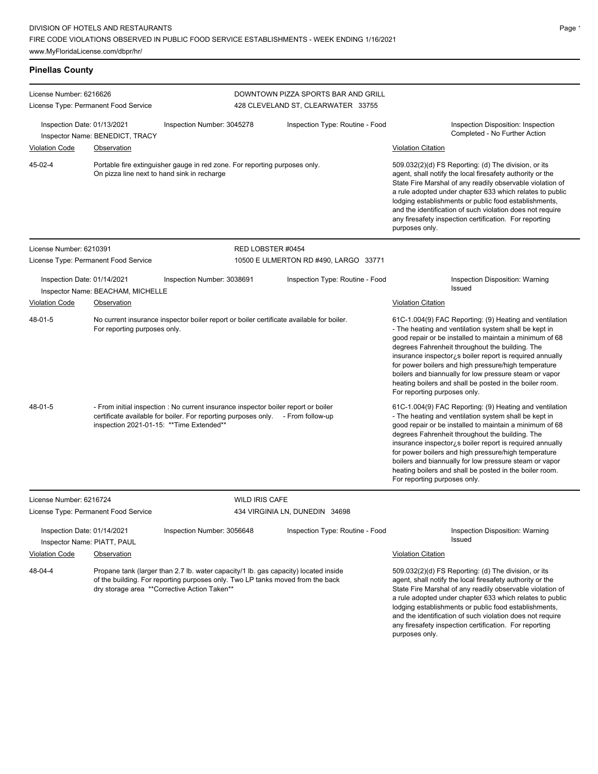# **Pinellas County**

| License Number: 6216626                                                                                                                                                                                                          |                                                                                                                           |                                                                                                                                                                                                   | DOWNTOWN PIZZA SPORTS BAR AND GRILL |                                       |                                                                                                                                                                                                                                                                                                                                                                                                                                                                                                          |                                                                     |  |  |
|----------------------------------------------------------------------------------------------------------------------------------------------------------------------------------------------------------------------------------|---------------------------------------------------------------------------------------------------------------------------|---------------------------------------------------------------------------------------------------------------------------------------------------------------------------------------------------|-------------------------------------|---------------------------------------|----------------------------------------------------------------------------------------------------------------------------------------------------------------------------------------------------------------------------------------------------------------------------------------------------------------------------------------------------------------------------------------------------------------------------------------------------------------------------------------------------------|---------------------------------------------------------------------|--|--|
| License Type: Permanent Food Service                                                                                                                                                                                             |                                                                                                                           |                                                                                                                                                                                                   | 428 CLEVELAND ST, CLEARWATER 33755  |                                       |                                                                                                                                                                                                                                                                                                                                                                                                                                                                                                          |                                                                     |  |  |
| Inspection Date: 01/13/2021                                                                                                                                                                                                      | Inspector Name: BENEDICT, TRACY                                                                                           | Inspection Number: 3045278                                                                                                                                                                        |                                     | Inspection Type: Routine - Food       |                                                                                                                                                                                                                                                                                                                                                                                                                                                                                                          | Inspection Disposition: Inspection<br>Completed - No Further Action |  |  |
| <b>Violation Code</b>                                                                                                                                                                                                            | Observation                                                                                                               |                                                                                                                                                                                                   |                                     |                                       | <b>Violation Citation</b>                                                                                                                                                                                                                                                                                                                                                                                                                                                                                |                                                                     |  |  |
| 45-02-4                                                                                                                                                                                                                          | Portable fire extinguisher gauge in red zone. For reporting purposes only.<br>On pizza line next to hand sink in recharge |                                                                                                                                                                                                   |                                     |                                       | 509.032(2)(d) FS Reporting: (d) The division, or its<br>agent, shall notify the local firesafety authority or the<br>State Fire Marshal of any readily observable violation of<br>a rule adopted under chapter 633 which relates to public<br>lodging establishments or public food establishments,<br>and the identification of such violation does not require<br>any firesafety inspection certification. For reporting<br>purposes only.                                                             |                                                                     |  |  |
| License Number: 6210391                                                                                                                                                                                                          |                                                                                                                           |                                                                                                                                                                                                   | RED LOBSTER #0454                   |                                       |                                                                                                                                                                                                                                                                                                                                                                                                                                                                                                          |                                                                     |  |  |
| License Type: Permanent Food Service                                                                                                                                                                                             |                                                                                                                           |                                                                                                                                                                                                   |                                     | 10500 E ULMERTON RD #490, LARGO 33771 |                                                                                                                                                                                                                                                                                                                                                                                                                                                                                                          |                                                                     |  |  |
| Inspection Date: 01/14/2021                                                                                                                                                                                                      | Inspector Name: BEACHAM, MICHELLE                                                                                         | Inspection Number: 3038691                                                                                                                                                                        |                                     | Inspection Type: Routine - Food       | Issued                                                                                                                                                                                                                                                                                                                                                                                                                                                                                                   | Inspection Disposition: Warning                                     |  |  |
| <b>Violation Code</b>                                                                                                                                                                                                            | Observation                                                                                                               |                                                                                                                                                                                                   |                                     |                                       | <b>Violation Citation</b>                                                                                                                                                                                                                                                                                                                                                                                                                                                                                |                                                                     |  |  |
| $48 - 01 - 5$                                                                                                                                                                                                                    | For reporting purposes only.                                                                                              | No current insurance inspector boiler report or boiler certificate available for boiler.                                                                                                          |                                     |                                       | 61C-1.004(9) FAC Reporting: (9) Heating and ventilation<br>- The heating and ventilation system shall be kept in<br>good repair or be installed to maintain a minimum of 68<br>degrees Fahrenheit throughout the building. The<br>insurance inspector is boiler report is required annually<br>for power boilers and high pressure/high temperature<br>boilers and biannually for low pressure steam or vapor<br>heating boilers and shall be posted in the boiler room.<br>For reporting purposes only. |                                                                     |  |  |
| 48-01-5                                                                                                                                                                                                                          |                                                                                                                           | - From initial inspection : No current insurance inspector boiler report or boiler<br>certificate available for boiler. For reporting purposes only.<br>inspection 2021-01-15: ** Time Extended** |                                     | - From follow-up                      | 61C-1.004(9) FAC Reporting: (9) Heating and ventilation<br>- The heating and ventilation system shall be kept in<br>good repair or be installed to maintain a minimum of 68<br>degrees Fahrenheit throughout the building. The<br>insurance inspector is boiler report is required annually<br>for power boilers and high pressure/high temperature<br>boilers and biannually for low pressure steam or vapor<br>heating boilers and shall be posted in the boiler room.<br>For reporting purposes only. |                                                                     |  |  |
| License Number: 6216724                                                                                                                                                                                                          |                                                                                                                           |                                                                                                                                                                                                   | <b>WILD IRIS CAFE</b>               |                                       |                                                                                                                                                                                                                                                                                                                                                                                                                                                                                                          |                                                                     |  |  |
| License Type: Permanent Food Service                                                                                                                                                                                             |                                                                                                                           |                                                                                                                                                                                                   | 434 VIRGINIA LN, DUNEDIN 34698      |                                       |                                                                                                                                                                                                                                                                                                                                                                                                                                                                                                          |                                                                     |  |  |
| Inspection Date: 01/14/2021<br>Inspector Name: PIATT, PAUL                                                                                                                                                                       |                                                                                                                           | Inspection Number: 3056648                                                                                                                                                                        |                                     | Inspection Type: Routine - Food       | Issued                                                                                                                                                                                                                                                                                                                                                                                                                                                                                                   | Inspection Disposition: Warning                                     |  |  |
| <b>Violation Code</b>                                                                                                                                                                                                            | <b>Observation</b>                                                                                                        |                                                                                                                                                                                                   |                                     |                                       | <b>Violation Citation</b>                                                                                                                                                                                                                                                                                                                                                                                                                                                                                |                                                                     |  |  |
| 48-04-4<br>Propane tank (larger than 2.7 lb. water capacity/1 lb. gas capacity) located inside<br>of the building. For reporting purposes only. Two LP tanks moved from the back<br>dry storage area **Corrective Action Taken** |                                                                                                                           |                                                                                                                                                                                                   |                                     |                                       | 509.032(2)(d) FS Reporting: (d) The division, or its<br>agent, shall notify the local firesafety authority or the<br>State Fire Marshal of any readily observable violation of<br>a rule adopted under chapter 633 which relates to public                                                                                                                                                                                                                                                               |                                                                     |  |  |

Page 1

lodging establishments or public food establishments, and the identification of such violation does not require any firesafety inspection certification. For reporting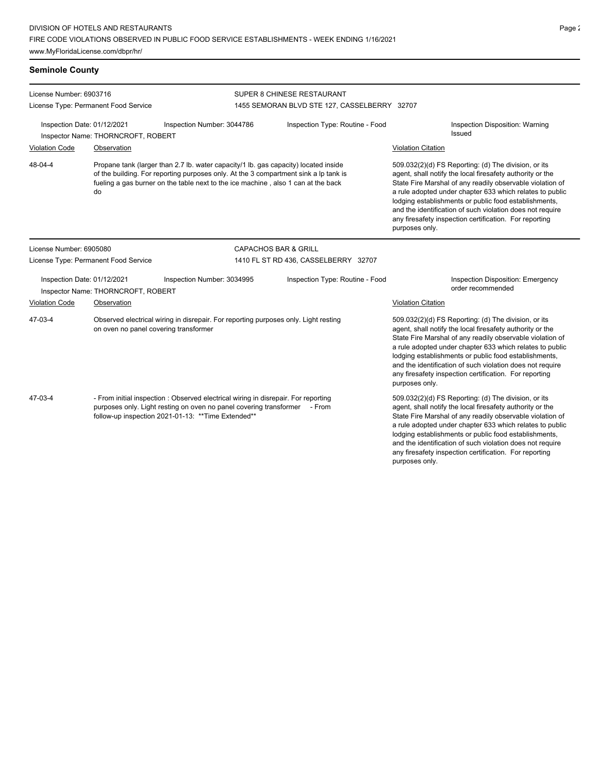### **Seminole County**

| License Number: 6903716                                                                                   |                                                                                                                                                                                                                                                                        |                                                                                                                              | SUPER 8 CHINESE RESTAURANT                   |                                                                                                                                                                                                                                                                                                                                                                                                                                              |  |  |  |
|-----------------------------------------------------------------------------------------------------------|------------------------------------------------------------------------------------------------------------------------------------------------------------------------------------------------------------------------------------------------------------------------|------------------------------------------------------------------------------------------------------------------------------|----------------------------------------------|----------------------------------------------------------------------------------------------------------------------------------------------------------------------------------------------------------------------------------------------------------------------------------------------------------------------------------------------------------------------------------------------------------------------------------------------|--|--|--|
| License Type: Permanent Food Service                                                                      |                                                                                                                                                                                                                                                                        |                                                                                                                              | 1455 SEMORAN BLVD STE 127, CASSELBERRY 32707 |                                                                                                                                                                                                                                                                                                                                                                                                                                              |  |  |  |
| Inspection Date: 01/12/2021<br>Inspector Name: THORNCROFT, ROBERT<br><b>Violation Code</b><br>Observation |                                                                                                                                                                                                                                                                        | Inspection Number: 3044786                                                                                                   | Inspection Type: Routine - Food              | Inspection Disposition: Warning<br>Issued<br><b>Violation Citation</b>                                                                                                                                                                                                                                                                                                                                                                       |  |  |  |
|                                                                                                           |                                                                                                                                                                                                                                                                        |                                                                                                                              |                                              |                                                                                                                                                                                                                                                                                                                                                                                                                                              |  |  |  |
| 48-04-4                                                                                                   | Propane tank (larger than 2.7 lb. water capacity/1 lb. gas capacity) located inside<br>of the building. For reporting purposes only. At the 3 compartment sink a lp tank is<br>fueling a gas burner on the table next to the ice machine, also 1 can at the back<br>do |                                                                                                                              |                                              | 509.032(2)(d) FS Reporting: (d) The division, or its<br>agent, shall notify the local firesafety authority or the<br>State Fire Marshal of any readily observable violation of<br>a rule adopted under chapter 633 which relates to public<br>lodging establishments or public food establishments,<br>and the identification of such violation does not require<br>any firesafety inspection certification. For reporting<br>purposes only. |  |  |  |
| License Number: 6905080                                                                                   |                                                                                                                                                                                                                                                                        |                                                                                                                              | <b>CAPACHOS BAR &amp; GRILL</b>              |                                                                                                                                                                                                                                                                                                                                                                                                                                              |  |  |  |
| License Type: Permanent Food Service                                                                      |                                                                                                                                                                                                                                                                        |                                                                                                                              | 1410 FL ST RD 436, CASSELBERRY 32707         |                                                                                                                                                                                                                                                                                                                                                                                                                                              |  |  |  |
| Inspection Date: 01/12/2021<br>Inspector Name: THORNCROFT, ROBERT                                         |                                                                                                                                                                                                                                                                        | Inspection Number: 3034995                                                                                                   | Inspection Type: Routine - Food              | Inspection Disposition: Emergency<br>order recommended                                                                                                                                                                                                                                                                                                                                                                                       |  |  |  |
| <b>Violation Code</b>                                                                                     | Observation                                                                                                                                                                                                                                                            |                                                                                                                              |                                              | Violation Citation                                                                                                                                                                                                                                                                                                                                                                                                                           |  |  |  |
| 47-03-4                                                                                                   |                                                                                                                                                                                                                                                                        | Observed electrical wiring in disrepair. For reporting purposes only. Light resting<br>on oven no panel covering transformer |                                              | 509.032(2)(d) FS Reporting: (d) The division, or its<br>agent, shall notify the local firesafety authority or the<br>State Fire Marshal of any readily observable violation of<br>a rule adopted under chapter 633 which relates to public<br>lodging establishments or public food establishments,<br>and the identification of such violation does not require<br>any firesafety inspection certification. For reporting<br>purposes only. |  |  |  |
| 47-03-4                                                                                                   | - From initial inspection : Observed electrical wiring in disrepair. For reporting<br>purposes only. Light resting on oven no panel covering transformer - From<br>follow-up inspection 2021-01-13: ** Time Extended**                                                 |                                                                                                                              |                                              | 509.032(2)(d) FS Reporting: (d) The division, or its<br>agent, shall notify the local firesafety authority or the<br>State Fire Marshal of any readily observable violation of<br>a rule adopted under chapter 633 which relates to public<br>lodging establishments or public food establishments,<br>and the identification of such violation does not require<br>any firesafety inspection certification. For reporting<br>purposes only. |  |  |  |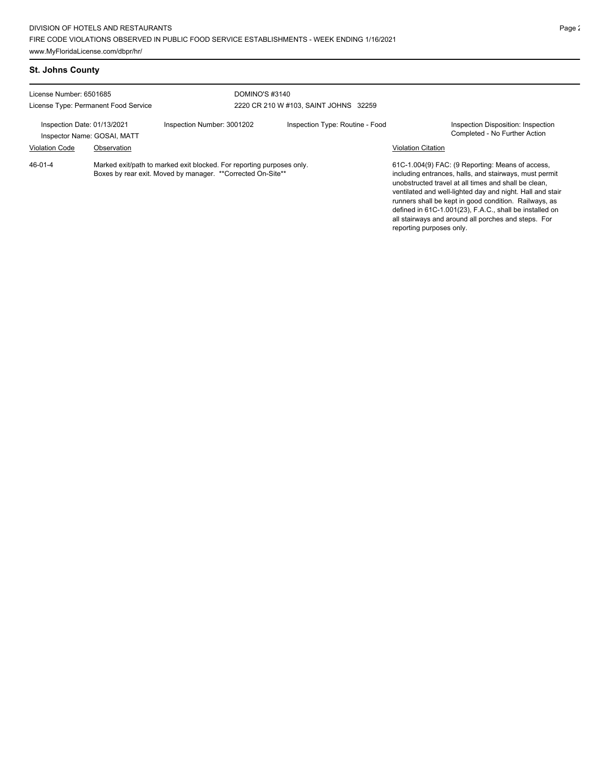### **St. Johns County**

| License Number: 6501685                                                                                                                               |             |                            | <b>DOMINO'S #3140</b>                 |                           |                                                                                                                                                                                                                                                                                                                                                                                                            |  |  |
|-------------------------------------------------------------------------------------------------------------------------------------------------------|-------------|----------------------------|---------------------------------------|---------------------------|------------------------------------------------------------------------------------------------------------------------------------------------------------------------------------------------------------------------------------------------------------------------------------------------------------------------------------------------------------------------------------------------------------|--|--|
| License Type: Permanent Food Service                                                                                                                  |             |                            | 2220 CR 210 W #103, SAINT JOHNS 32259 |                           |                                                                                                                                                                                                                                                                                                                                                                                                            |  |  |
| Inspection Date: 01/13/2021<br>Inspector Name: GOSAI, MATT                                                                                            |             | Inspection Number: 3001202 | Inspection Type: Routine - Food       |                           | Inspection Disposition: Inspection<br>Completed - No Further Action                                                                                                                                                                                                                                                                                                                                        |  |  |
| <b>Violation Code</b>                                                                                                                                 | Observation |                            |                                       | <b>Violation Citation</b> |                                                                                                                                                                                                                                                                                                                                                                                                            |  |  |
| Marked exit/path to marked exit blocked. For reporting purposes only.<br>$46 - 01 - 4$<br>Boxes by rear exit. Moved by manager. **Corrected On-Site** |             |                            |                                       |                           | 61C-1.004(9) FAC: (9 Reporting: Means of access,<br>including entrances, halls, and stairways, must permit<br>unobstructed travel at all times and shall be clean,<br>ventilated and well-lighted day and night. Hall and stair<br>runners shall be kept in good condition. Railways, as<br>defined in 61C-1.001(23), F.A.C., shall be installed on<br>all stairways and around all porches and steps. For |  |  |

reporting purposes only.